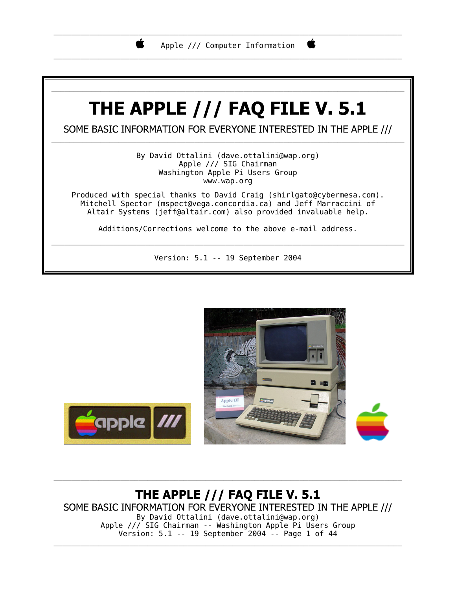

\_\_\_\_\_\_\_\_\_\_\_\_\_\_\_\_\_\_\_\_\_\_\_\_\_\_\_\_\_\_\_\_\_\_\_\_\_\_\_\_\_\_\_\_\_\_\_\_\_\_\_\_\_\_\_\_\_\_\_\_\_\_\_\_\_\_\_\_\_\_\_\_\_\_\_\_\_\_

Ë

# THE APPLE  $//$  FAQ FILE V. 5.1

\_\_\_\_\_\_\_\_\_\_\_\_\_\_\_\_\_\_\_\_\_\_\_\_\_\_\_\_\_\_\_\_\_\_\_\_\_\_\_\_\_\_\_\_\_\_\_\_\_\_\_\_\_\_\_\_\_\_\_\_\_\_\_\_\_\_\_\_\_\_\_\_\_\_\_\_\_\_\_

SOME BASIC INFORMATION FOR EVERYONE INTERESTED IN THE APPLE /// \_\_\_\_\_\_\_\_\_\_\_\_\_\_\_\_\_\_\_\_\_\_\_\_\_\_\_\_\_\_\_\_\_\_\_\_\_\_\_\_\_\_\_\_\_\_\_\_\_\_\_\_\_\_\_\_\_\_\_\_\_\_\_\_\_\_\_\_\_\_\_\_\_\_\_\_\_\_\_

> By David Ottalini (dave.ottalini@wap.org) Apple /// SIG Chairman Washington Apple Pi Users Group www.wap.org

Produced with special thanks to David Craig (shirlgato@cybermesa.com). Mitchell Spector (mspect@vega.concordia.ca) and Jeff Marraccini of Altair Systems (jeff@altair.com) also provided invaluable help.

Additions/Corrections welcome to the above e-mail address. \_\_\_\_\_\_\_\_\_\_\_\_\_\_\_\_\_\_\_\_\_\_\_\_\_\_\_\_\_\_\_\_\_\_\_\_\_\_\_\_\_\_\_\_\_\_\_\_\_\_\_\_\_\_\_\_\_\_\_\_\_\_\_\_\_\_\_\_\_\_\_\_\_\_\_\_\_\_\_

Version: 5.1 -- 19 September 2004



**THE APPLE /// FAQ FILE V. 5.1** SOME BASIC INFORMATION FOR EVERYONE INTERESTED IN THE APPLE /// By David Ottalini (dave.ottalini@wap.org) Apple /// SIG Chairman -- Washington Apple Pi Users Group Version: 5.1 -- 19 September 2004 -- Page 1 of 44

\_\_\_\_\_\_\_\_\_\_\_\_\_\_\_\_\_\_\_\_\_\_\_\_\_\_\_\_\_\_\_\_\_\_\_\_\_\_\_\_\_\_\_\_\_\_\_\_\_\_\_\_\_\_\_\_\_\_\_\_\_\_\_\_\_\_\_\_\_\_\_\_\_\_\_\_\_\_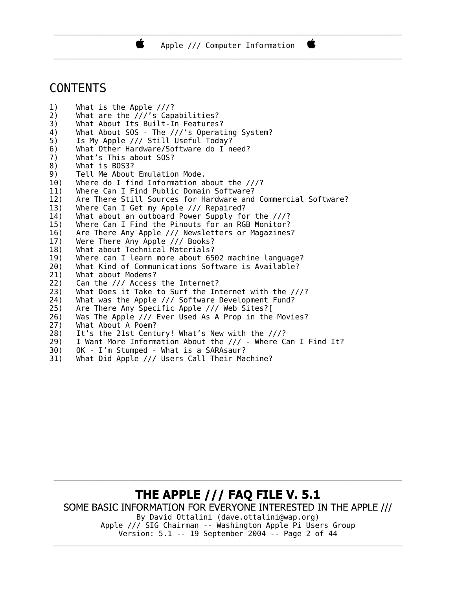\_\_\_\_\_\_\_\_\_\_\_\_\_\_\_\_\_\_\_\_\_\_\_\_\_\_\_\_\_\_\_\_\_\_\_\_\_\_\_\_\_\_\_\_\_\_\_\_\_\_\_\_\_\_\_\_\_\_\_\_\_\_\_\_\_\_\_\_\_\_\_\_\_\_\_\_\_\_ Apple /// Computer Information \_\_\_\_\_\_\_\_\_\_\_\_\_\_\_\_\_\_\_\_\_\_\_\_\_\_\_\_\_\_\_\_\_\_\_\_\_\_\_\_\_\_\_\_\_\_\_\_\_\_\_\_\_\_\_\_\_\_\_\_\_\_\_\_\_\_\_\_\_\_\_\_\_\_\_\_\_\_

C

### CONTENTS

- 1) What is the Apple ///?
- 2) What are the ///'s Capabilities?
- 3) What About Its Built-In Features?

к

- 4) What About SOS The ///'s Operating System?
- 5) Is My Apple /// Still Useful Today?
- 6) What Other Hardware/Software do I need?
- 7) What's This about SOS?
- 8) What is BOS3?
- 9) Tell Me About Emulation Mode.
- 10) Where do I find Information about the ///?
- 11) Where Can I Find Public Domain Software?
- 12) Are There Still Sources for Hardware and Commercial Software?
- 13) Where Can I Get my Apple /// Repaired?
- 14) What about an outboard Power Supply for the ///?
- 15) Where Can I Find the Pinouts for an RGB Monitor?
- 16) Are There Any Apple /// Newsletters or Magazines?
- 17) Were There Any Apple /// Books?
- 18) What about Technical Materials?
- 19) Where can I learn more about 6502 machine language?
- 20) What Kind of Communications Software is Available?
- 21) What about Modems?
- 22) Can the /// Access the Internet?<br>23) What Does it Take to Surf the In
- What Does it Take to Surf the Internet with the ///?
- 24) What was the Apple /// Software Development Fund?
- 25) Are There Any Specific Apple /// Web Sites?[
- 26) Was The Apple /// Ever Used As A Prop in the Movies?
- 27) What About A Poem?
- 28) It's the 21st Century! What's New with the ///?
- 29) I Want More Information About the /// Where Can I Find It?
- 30) OK I'm Stumped What is a SARAsaur?
- 31) What Did Apple /// Users Call Their Machine?

## **THE APPLE /// FAQ FILE V. 5.1**

SOME BASIC INFORMATION FOR EVERYONE INTERESTED IN THE APPLE ///

\_\_\_\_\_\_\_\_\_\_\_\_\_\_\_\_\_\_\_\_\_\_\_\_\_\_\_\_\_\_\_\_\_\_\_\_\_\_\_\_\_\_\_\_\_\_\_\_\_\_\_\_\_\_\_\_\_\_\_\_\_\_\_\_\_\_\_\_\_\_\_\_\_\_\_\_\_\_

By David Ottalini (dave.ottalini@wap.org) Apple /// SIG Chairman -- Washington Apple Pi Users Group Version: 5.1 -- 19 September 2004 -- Page 2 of 44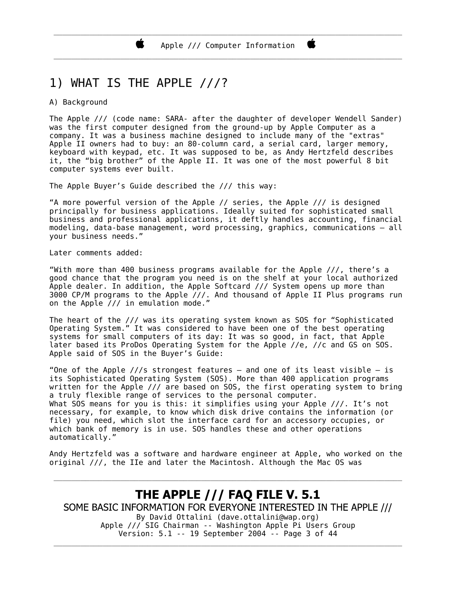### 1) WHAT IS THE APPLE ///?

#### A) Background

The Apple /// (code name: SARA- after the daughter of developer Wendell Sander) was the first computer designed from the ground-up by Apple Computer as a company. It was a business machine designed to include many of the "extras" Apple II owners had to buy: an 80-column card, a serial card, larger memory, keyboard with keypad, etc. It was supposed to be, as Andy Hertzfeld describes it, the "big brother" of the Apple II. It was one of the most powerful 8 bit computer systems ever built.

The Apple Buyer's Guide described the /// this way:

"A more powerful version of the Apple // series, the Apple /// is designed principally for business applications. Ideally suited for sophisticated small business and professional applications, it deftly handles accounting, financial modeling, data-base management, word processing, graphics, communications – all your business needs."

Later comments added:

"With more than 400 business programs available for the Apple ///, there's a good chance that the program you need is on the shelf at your local authorized Apple dealer. In addition, the Apple Softcard /// System opens up more than 3000 CP/M programs to the Apple  $7/$ /. And thousand of Apple II Plus programs run on the Apple  $7/7$  in emulation mode.

The heart of the /// was its operating system known as SOS for "Sophisticated Operating System." It was considered to have been one of the best operating systems for small computers of its day: It was so good, in fact, that Apple later based its ProDos Operating System for the Apple //e, //c and GS on SOS. Apple said of SOS in the Buyer's Guide:

"One of the Apple  $///s$  strongest features – and one of its least visible – is its Sophisticated Operating System (SOS). More than 400 application programs written for the Apple /// are based on SOS, the first operating system to bring a truly flexible range of services to the personal computer. What SOS means for you is this: it simplifies using your Apple ///. It's not necessary, for example, to know which disk drive contains the information (or file) you need, which slot the interface card for an accessory occupies, or which bank of memory is in use. SOS handles these and other operations automatically."

Andy Hertzfeld was a software and hardware engineer at Apple, who worked on the original ///, the IIe and later the Macintosh. Although the Mac OS was

\_\_\_\_\_\_\_\_\_\_\_\_\_\_\_\_\_\_\_\_\_\_\_\_\_\_\_\_\_\_\_\_\_\_\_\_\_\_\_\_\_\_\_\_\_\_\_\_\_\_\_\_\_\_\_\_\_\_\_\_\_\_\_\_\_\_\_\_\_\_\_\_\_\_\_\_\_\_

#### **THE APPLE /// FAQ FILE V. 5.1** SOME BASIC INFORMATION FOR EVERYONE INTERESTED IN THE APPLE /// By David Ottalini (dave.ottalini@wap.org) Apple /// SIG Chairman -- Washington Apple Pi Users Group Version: 5.1 -- 19 September 2004 -- Page 3 of 44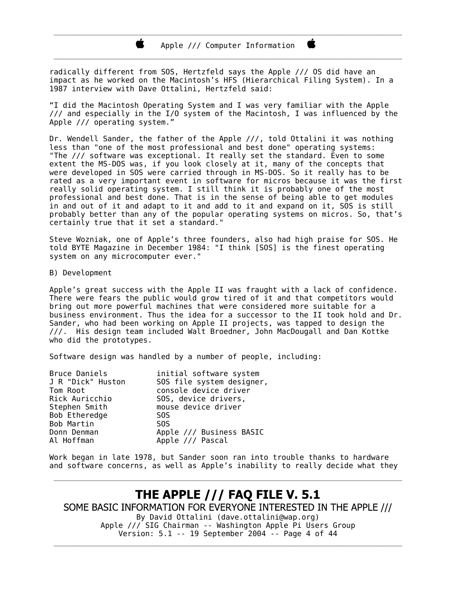Ń.

radically different from SOS, Hertzfeld says the Apple /// OS did have an impact as he worked on the Macintosh's HFS (Hierarchical Filing System). In a 1987 interview with Dave Ottalini, Hertzfeld said:

"I did the Macintosh Operating System and I was very familiar with the Apple  $\frac{1}{1}$  and especially in the I/O system of the Macintosh, I was influenced by the Apple /// operating system."

Dr. Wendell Sander, the father of the Apple ///, told Ottalini it was nothing less than "one of the most professional and best done" operating systems: "The /// software was exceptional. It really set the standard. Even to some extent the MS-DOS was, if you look closely at it, many of the concepts that were developed in SOS were carried through in MS-DOS. So it really has to be rated as a very important event in software for micros because it was the first really solid operating system. I still think it is probably one of the most professional and best done. That is in the sense of being able to get modules in and out of it and adapt to it and add to it and expand on it, SOS is still probably better than any of the popular operating systems on micros. So, that's certainly true that it set a standard."

Steve Wozniak, one of Apple's three founders, also had high praise for SOS. He told BYTE Magazine in December 1984: "I think [SOS] is the finest operating system on any microcomputer ever."

B) Development

Apple's great success with the Apple II was fraught with a lack of confidence. There were fears the public would grow tired of it and that competitors would bring out more powerful machines that were considered more suitable for a business environment. Thus the idea for a successor to the II took hold and Dr. Sander, who had been working on Apple II projects, was tapped to design the ///. His design team included Walt Broedner, John MacDougall and Dan Kottke who did the prototypes.

Software design was handled by a number of people, including:

| Bruce Daniels<br>J R "Dick" Huston<br>Tom Root | initial software system<br>SOS file system designer,<br>console device driver |
|------------------------------------------------|-------------------------------------------------------------------------------|
|                                                |                                                                               |
| Rick Auricchio                                 | SOS, device drivers,                                                          |
| Stephen Smith                                  | mouse device driver                                                           |
| Bob Etheredge                                  | S <sub>0</sub> S                                                              |
| Bob Martin                                     | S <sub>0</sub> S                                                              |
| Donn Denman                                    | Apple /// Business BASIC                                                      |
| Al Hoffman                                     | Apple /// Pascal                                                              |
|                                                |                                                                               |

Work began in late 1978, but Sander soon ran into trouble thanks to hardware and software concerns, as well as Apple's inability to really decide what they

\_\_\_\_\_\_\_\_\_\_\_\_\_\_\_\_\_\_\_\_\_\_\_\_\_\_\_\_\_\_\_\_\_\_\_\_\_\_\_\_\_\_\_\_\_\_\_\_\_\_\_\_\_\_\_\_\_\_\_\_\_\_\_\_\_\_\_\_\_\_\_\_\_\_\_\_\_\_

**THE APPLE /// FAQ FILE V. 5.1** SOME BASIC INFORMATION FOR EVERYONE INTERESTED IN THE APPLE /// By David Ottalini (dave.ottalini@wap.org) Apple /// SIG Chairman -- Washington Apple Pi Users Group Version: 5.1 -- 19 September 2004 -- Page 4 of 44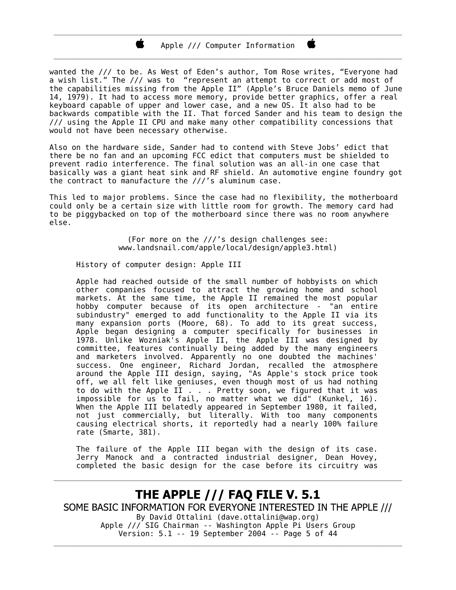#### \_\_\_\_\_\_\_\_\_\_\_\_\_\_\_\_\_\_\_\_\_\_\_\_\_\_\_\_\_\_\_\_\_\_\_\_\_\_\_\_\_\_\_\_\_\_\_\_\_\_\_\_\_\_\_\_\_\_\_\_\_\_\_\_\_\_\_\_\_\_\_\_\_\_\_\_\_\_ Apple /// Computer Information \_\_\_\_\_\_\_\_\_\_\_\_\_\_\_\_\_\_\_\_\_\_\_\_\_\_\_\_\_\_\_\_\_\_\_\_\_\_\_\_\_\_\_\_\_\_\_\_\_\_\_\_\_\_\_\_\_\_\_\_\_\_\_\_\_\_\_\_\_\_\_\_\_\_\_\_\_\_

Ë

wanted the /// to be. As West of Eden's author, Tom Rose writes, "Everyone had a wish list." The /// was to "represent an attempt to correct or add most of the capabilities missing from the Apple II" (Apple's Bruce Daniels memo of June 14, 1979). It had to access more memory, provide better graphics, offer a real keyboard capable of upper and lower case, and a new OS. It also had to be backwards compatible with the II. That forced Sander and his team to design the /// using the Apple II CPU and make many other compatibility concessions that would not have been necessary otherwise.

Also on the hardware side, Sander had to contend with Steve Jobs' edict that there be no fan and an upcoming FCC edict that computers must be shielded to prevent radio interference. The final solution was an all-in one case that basically was a giant heat sink and RF shield. An automotive engine foundry got the contract to manufacture the ///'s aluminum case.

This led to major problems. Since the case had no flexibility, the motherboard could only be a certain size with little room for growth. The memory card had to be piggybacked on top of the motherboard since there was no room anywhere else.

> (For more on the ///'s design challenges see: www.landsnail.com/apple/local/design/apple3.html)

History of computer design: Apple III

Apple had reached outside of the small number of hobbyists on which other companies focused to attract the growing home and school markets. At the same time, the Apple II remained the most popular hobby computer because of its open architecture - "an entire subindustry" emerged to add functionality to the Apple II via its many expansion ports (Moore, 68). To add to its great success, Apple began designing a computer specifically for businesses in 1978. Unlike Wozniak's Apple II, the Apple III was designed by committee, features continually being added by the many engineers and marketers involved. Apparently no one doubted the machines' success. One engineer, Richard Jordan, recalled the atmosphere around the Apple III design, saying, "As Apple's stock price took off, we all felt like geniuses, even though most of us had nothing to do with the Apple II . . . Pretty soon, we figured that it was impossible for us to fail, no matter what we did" (Kunkel, 16). When the Apple III belatedly appeared in September 1980, it failed, not just commercially, but literally. With too many components causing electrical shorts, it reportedly had a nearly 100% failure rate (Smarte, 381).

The failure of the Apple III began with the design of its case. Jerry Manock and a contracted industrial designer, Dean Hovey, completed the basic design for the case before its circuitry was

\_\_\_\_\_\_\_\_\_\_\_\_\_\_\_\_\_\_\_\_\_\_\_\_\_\_\_\_\_\_\_\_\_\_\_\_\_\_\_\_\_\_\_\_\_\_\_\_\_\_\_\_\_\_\_\_\_\_\_\_\_\_\_\_\_\_\_\_\_\_\_\_\_\_\_\_\_\_

#### **THE APPLE /// FAQ FILE V. 5.1** SOME BASIC INFORMATION FOR EVERYONE INTERESTED IN THE APPLE /// By David Ottalini (dave.ottalini@wap.org) Apple /// SIG Chairman -- Washington Apple Pi Users Group Version: 5.1 -- 19 September 2004 -- Page 5 of 44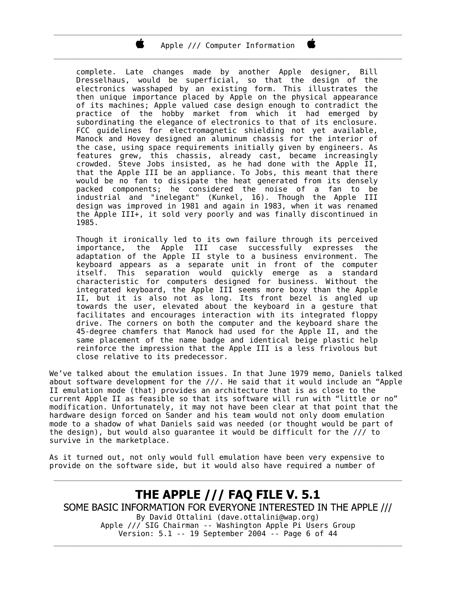Apple /// Computer Information \_\_\_\_\_\_\_\_\_\_\_\_\_\_\_\_\_\_\_\_\_\_\_\_\_\_\_\_\_\_\_\_\_\_\_\_\_\_\_\_\_\_\_\_\_\_\_\_\_\_\_\_\_\_\_\_\_\_\_\_\_\_\_\_\_\_\_\_\_\_\_\_\_\_\_\_\_\_

\_\_\_\_\_\_\_\_\_\_\_\_\_\_\_\_\_\_\_\_\_\_\_\_\_\_\_\_\_\_\_\_\_\_\_\_\_\_\_\_\_\_\_\_\_\_\_\_\_\_\_\_\_\_\_\_\_\_\_\_\_\_\_\_\_\_\_\_\_\_\_\_\_\_\_\_\_\_

Ë

complete. Late changes made by another Apple designer, Bill Dresselhaus, would be superficial, so that the design of the electronics wasshaped by an existing form. This illustrates the then unique importance placed by Apple on the physical appearance of its machines; Apple valued case design enough to contradict the practice of the hobby market from which it had emerged by subordinating the elegance of electronics to that of its enclosure. FCC guidelines for electromagnetic shielding not yet available, Manock and Hovey designed an aluminum chassis for the interior of the case, using space requirements initially given by engineers. As features grew, this chassis, already cast, became increasingly crowded. Steve Jobs insisted, as he had done with the Apple II, that the Apple III be an appliance. To Jobs, this meant that there would be no fan to dissipate the heat generated from its densely packed components; he considered the noise of a fan to be industrial and "inelegant" (Kunkel, 16). Though the Apple III design was improved in 1981 and again in 1983, when it was renamed the Apple III+, it sold very poorly and was finally discontinued in 1985.

Though it ironically led to its own failure through its perceived importance, the Apple III case successfully expresses the adaptation of the Apple II style to a business environment. The keyboard appears as a separate unit in front of the computer itself. This separation would quickly emerge as a standard characteristic for computers designed for business. Without the integrated keyboard, the Apple III seems more boxy than the Apple II, but it is also not as long. Its front bezel is angled up towards the user, elevated about the keyboard in a gesture that facilitates and encourages interaction with its integrated floppy drive. The corners on both the computer and the keyboard share the 45-degree chamfers that Manock had used for the Apple II, and the same placement of the name badge and identical beige plastic help reinforce the impression that the Apple III is a less frivolous but close relative to its predecessor.

We've talked about the emulation issues. In that June 1979 memo, Daniels talked about software development for the ///. He said that it would include an "Apple II emulation mode (that) provides an architecture that is as close to the current Apple II as feasible so that its software will run with "little or no" modification. Unfortunately, it may not have been clear at that point that the hardware design forced on Sander and his team would not only doom emulation mode to a shadow of what Daniels said was needed (or thought would be part of the design), but would also guarantee it would be difficult for the  $//$  to survive in the marketplace.

As it turned out, not only would full emulation have been very expensive to provide on the software side, but it would also have required a number of

#### **THE APPLE /// FAQ FILE V. 5.1** SOME BASIC INFORMATION FOR EVERYONE INTERESTED IN THE APPLE /// By David Ottalini (dave.ottalini@wap.org) Apple /// SIG Chairman -- Washington Apple Pi Users Group Version: 5.1 -- 19 September 2004 -- Page 6 of 44

\_\_\_\_\_\_\_\_\_\_\_\_\_\_\_\_\_\_\_\_\_\_\_\_\_\_\_\_\_\_\_\_\_\_\_\_\_\_\_\_\_\_\_\_\_\_\_\_\_\_\_\_\_\_\_\_\_\_\_\_\_\_\_\_\_\_\_\_\_\_\_\_\_\_\_\_\_\_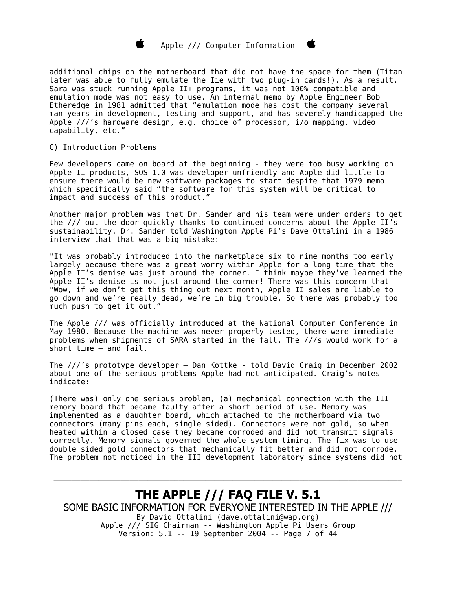#### Apple /// Computer Information \_\_\_\_\_\_\_\_\_\_\_\_\_\_\_\_\_\_\_\_\_\_\_\_\_\_\_\_\_\_\_\_\_\_\_\_\_\_\_\_\_\_\_\_\_\_\_\_\_\_\_\_\_\_\_\_\_\_\_\_\_\_\_\_\_\_\_\_\_\_\_\_\_\_\_\_\_\_

\_\_\_\_\_\_\_\_\_\_\_\_\_\_\_\_\_\_\_\_\_\_\_\_\_\_\_\_\_\_\_\_\_\_\_\_\_\_\_\_\_\_\_\_\_\_\_\_\_\_\_\_\_\_\_\_\_\_\_\_\_\_\_\_\_\_\_\_\_\_\_\_\_\_\_\_\_\_

Ë

additional chips on the motherboard that did not have the space for them (Titan later was able to fully emulate the Iie with two plug-in cards!). As a result, Sara was stuck running Apple II+ programs, it was not 100% compatible and emulation mode was not easy to use. An internal memo by Apple Engineer Bob Etheredge in 1981 admitted that "emulation mode has cost the company several man years in development, testing and support, and has severely handicapped the Apple ///'s hardware design, e.g. choice of processor, i/o mapping, video capability, etc."

#### C) Introduction Problems

Few developers came on board at the beginning - they were too busy working on Apple II products, SOS 1.0 was developer unfriendly and Apple did little to ensure there would be new software packages to start despite that 1979 memo which specifically said "the software for this system will be critical to impact and success of this product."

Another major problem was that Dr. Sander and his team were under orders to get the  $//$  out the door quickly thanks to continued concerns about the Apple II's sustainability. Dr. Sander told Washington Apple Pi's Dave Ottalini in a 1986 interview that that was a big mistake:

"It was probably introduced into the marketplace six to nine months too early largely because there was a great worry within Apple for a long time that the Apple II's demise was just around the corner. I think maybe they've learned the Apple II's demise is not just around the corner! There was this concern that "Wow, if we don't get this thing out next month, Apple II sales are liable to go down and we're really dead, we're in big trouble. So there was probably too much push to get it out.

The Apple /// was officially introduced at the National Computer Conference in May 1980. Because the machine was never properly tested, there were immediate problems when shipments of SARA started in the fall. The ///s would work for a short time – and fail.

The ///'s prototype developer – Dan Kottke - told David Craig in December 2002 about one of the serious problems Apple had not anticipated. Craig's notes indicate:

(There was) only one serious problem, (a) mechanical connection with the III memory board that became faulty after a short period of use. Memory was implemented as a daughter board, which attached to the motherboard via two connectors (many pins each, single sided). Connectors were not gold, so when heated within a closed case they became corroded and did not transmit signals correctly. Memory signals governed the whole system timing. The fix was to use double sided gold connectors that mechanically fit better and did not corrode. The problem not noticed in the III development laboratory since systems did not

THE APPLE /// FAQ FILE V. 5.1 SOME BASIC INFORMATION FOR EVERYONE INTERESTED IN THE APPLE /// By David Ottalini (dave.ottalini@wap.org) Apple /// SIG Chairman -- Washington Apple Pi Users Group Version: 5.1 -- 19 September 2004 -- Page 7 of 44

\_\_\_\_\_\_\_\_\_\_\_\_\_\_\_\_\_\_\_\_\_\_\_\_\_\_\_\_\_\_\_\_\_\_\_\_\_\_\_\_\_\_\_\_\_\_\_\_\_\_\_\_\_\_\_\_\_\_\_\_\_\_\_\_\_\_\_\_\_\_\_\_\_\_\_\_\_\_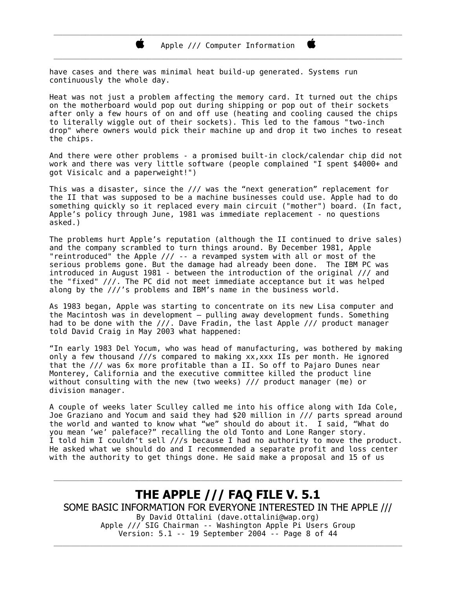have cases and there was minimal heat build-up generated. Systems run continuously the whole day.

Heat was not just a problem affecting the memory card. It turned out the chips on the motherboard would pop out during shipping or pop out of their sockets after only a few hours of on and off use (heating and cooling caused the chips to literally wiggle out of their sockets). This led to the famous "two-inch drop" where owners would pick their machine up and drop it two inches to reseat the chips.

And there were other problems - a promised built-in clock/calendar chip did not work and there was very little software (people complained "I spent \$4000+ and got Visicalc and a paperweight!")

This was a disaster, since the /// was the "next generation" replacement for the II that was supposed to be a machine businesses could use. Apple had to do something quickly so it replaced every main circuit ("mother") board. (In fact, Apple's policy through June, 1981 was immediate replacement - no questions asked.)

The problems hurt Apple's reputation (although the II continued to drive sales) and the company scrambled to turn things around. By December 1981, Apple "reintroduced" the Apple /// -- a revamped system with all or most of the serious problems gone. But the damage had already been done. The IBM PC was introduced in August 1981 - between the introduction of the original /// and the "fixed" ///. The PC did not meet immediate acceptance but it was helped along by the ///'s problems and IBM's name in the business world.

As 1983 began, Apple was starting to concentrate on its new Lisa computer and the Macintosh was in development – pulling away development funds. Something had to be done with the  $//$ . Dave Fradin, the last Apple /// product manager told David Craig in May 2003 what happened:

"In early 1983 Del Yocum, who was head of manufacturing, was bothered by making only a few thousand  $//s$  compared to making xx, xxx IIs per month. He ignored that the /// was 6x more profitable than a II. So off to Pajaro Dunes near Monterey, California and the executive committee killed the product line without consulting with the new (two weeks) /// product manager (me) or division manager.

A couple of weeks later Sculley called me into his office along with Ida Cole, Joe Graziano and Yocum and said they had \$20 million in /// parts spread around the world and wanted to know what "we" should do about it. I said, "What do you mean 'we' paleface?" recalling the old Tonto and Lone Ranger story. I told him I couldn't sell ///s because I had no authority to move the product. He asked what we should do and I recommended a separate profit and loss center with the authority to get things done. He said make a proposal and 15 of us

**THE APPLE /// FAQ FILE V. 5.1** SOME BASIC INFORMATION FOR EVERYONE INTERESTED IN THE APPLE /// By David Ottalini (dave.ottalini@wap.org) Apple /// SIG Chairman -- Washington Apple Pi Users Group Version: 5.1 -- 19 September 2004 -- Page 8 of 44

\_\_\_\_\_\_\_\_\_\_\_\_\_\_\_\_\_\_\_\_\_\_\_\_\_\_\_\_\_\_\_\_\_\_\_\_\_\_\_\_\_\_\_\_\_\_\_\_\_\_\_\_\_\_\_\_\_\_\_\_\_\_\_\_\_\_\_\_\_\_\_\_\_\_\_\_\_\_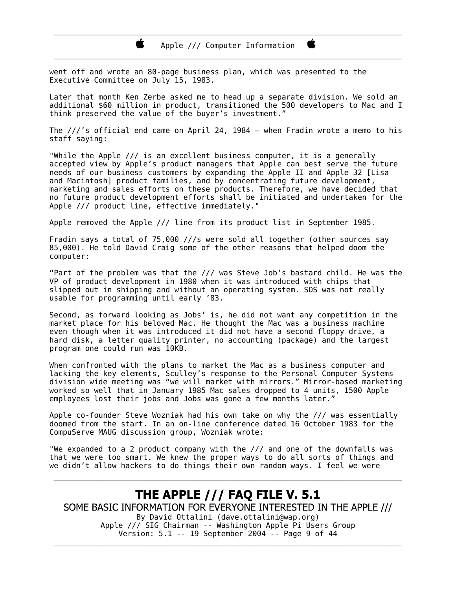went off and wrote an 80-page business plan, which was presented to the Executive Committee on July 15, 1983.

Later that month Ken Zerbe asked me to head up a separate division. We sold an additional \$60 million in product, transitioned the 500 developers to Mac and I think preserved the value of the buyer's investment."

The ///'s official end came on April 24, 1984 – when Fradin wrote a memo to his staff saying:

"While the Apple /// is an excellent business computer, it is a generally accepted view by Apple's product managers that Apple can best serve the future needs of our business customers by expanding the Apple II and Apple 32 [Lisa and Macintosh | product families, and by concentrating future development, marketing and sales efforts on these products. Therefore, we have decided that no future product development efforts shall be initiated and undertaken for the Apple /// product line, effective immediately."

Apple removed the Apple /// line from its product list in September 1985.

Fradin says a total of 75,000 ///s were sold all together (other sources say 85,000). He told David Craig some of the other reasons that helped doom the computer:

"Part of the problem was that the /// was Steve Job's bastard child. He was the VP of product development in 1980 when it was introduced with chips that slipped out in shipping and without an operating system. SOS was not really usable for programming until early '83.

Second, as forward looking as Jobs' is, he did not want any competition in the market place for his beloved Mac. He thought the Mac was a business machine even though when it was introduced it did not have a second floppy drive, a hard disk, a letter quality printer, no accounting (package) and the largest program one could run was 10KB.

When confronted with the plans to market the Mac as a business computer and lacking the key elements, Sculley's response to the Personal Computer Systems division wide meeting was "we will market with mirrors." Mirror-based marketing worked so well that in January 1985 Mac sales dropped to 4 units, 1500 Apple employees lost their jobs and Jobs was gone a few months later."

Apple co-founder Steve Wozniak had his own take on why the /// was essentially doomed from the start. In an on-line conference dated 16 October 1983 for the CompuServe MAUG discussion group, Wozniak wrote:

"We expanded to a 2 product company with the /// and one of the downfalls was that we were too smart. We knew the proper ways to do all sorts of things and we didn't allow hackers to do things their own random ways. I feel we were

#### THE APPLE /// FAQ FILE V. 5.1 SOME BASIC INFORMATION FOR EVERYONE INTERESTED IN THE APPLE /// By David Ottalini (dave.ottalini@wap.org) Apple /// SIG Chairman -- Washington Apple Pi Users Group Version: 5.1 -- 19 September 2004 -- Page 9 of 44

\_\_\_\_\_\_\_\_\_\_\_\_\_\_\_\_\_\_\_\_\_\_\_\_\_\_\_\_\_\_\_\_\_\_\_\_\_\_\_\_\_\_\_\_\_\_\_\_\_\_\_\_\_\_\_\_\_\_\_\_\_\_\_\_\_\_\_\_\_\_\_\_\_\_\_\_\_\_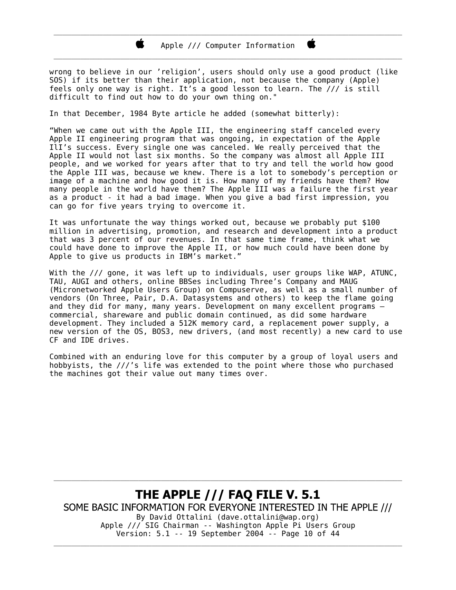wrong to believe in our 'religion', users should only use a good product (like SOS) if its better than their application, not because the company (Apple) feels only one way is right. It's a good lesson to learn. The /// is still difficult to find out how to do your own thing on."

In that December, 1984 Byte article he added (somewhat bitterly):

"When we came out with the Apple III, the engineering staff canceled every Apple II engineering program that was ongoing, in expectation of the Apple III's success. Every single one was canceled. We really perceived that the Apple II would not last six months. So the company was almost all Apple III people, and we worked for years after that to try and tell the world how good the Apple III was, because we knew. There is a lot to somebody's perception or image of a machine and how good it is. How many of my friends have them? How many people in the world have them? The Apple III was a failure the first year as a product - it had a bad image. When you give a bad first impression, you can go for five years trying to overcome it.

It was unfortunate the way things worked out, because we probably put \$100 million in advertising, promotion, and research and development into a product that was 3 percent of our revenues. In that same time frame, think what we could have done to improve the Apple II, or how much could have been done by Apple to give us products in IBM<sup>3</sup> s market."

With the /// gone, it was left up to individuals, user groups like WAP, ATUNC, TAU, AUGI and others, online BBSes including Three's Company and MAUG (Micronetworked Apple Users Group) on Compuserve, as well as a small number of vendors (On Three, Pair, D.A. Datasystems and others) to keep the flame going and they did for many, many years. Development on many excellent programs  $$ commercial, shareware and public domain continued, as did some hardware devel opment. They included a 512K memory card, a replacement power supply, a new version of the OS, BOS3, new drivers, (and most recently) a new card to use CF and IDE drives.

Combined with an enduring love for this computer by a group of loyal users and hobbyists, the ///'s life was extended to the point where those who purchased the machines got their value out many times over.

**THE APPLE /// FAQ FILE V. 5.1** SOME BASIC INFORMATION FOR EVERYONE INTERESTED IN THE APPLE /// By David Ottalini (dave.ottalini@wap.org) Apple /// SIG Chairman -- Washington Apple Pi Users Group Version: 5.1 -- 19 September 2004 -- Page 10 of 44

\_\_\_\_\_\_\_\_\_\_\_\_\_\_\_\_\_\_\_\_\_\_\_\_\_\_\_\_\_\_\_\_\_\_\_\_\_\_\_\_\_\_\_\_\_\_\_\_\_\_\_\_\_\_\_\_\_\_\_\_\_\_\_\_\_\_\_\_\_\_\_\_\_\_\_\_\_\_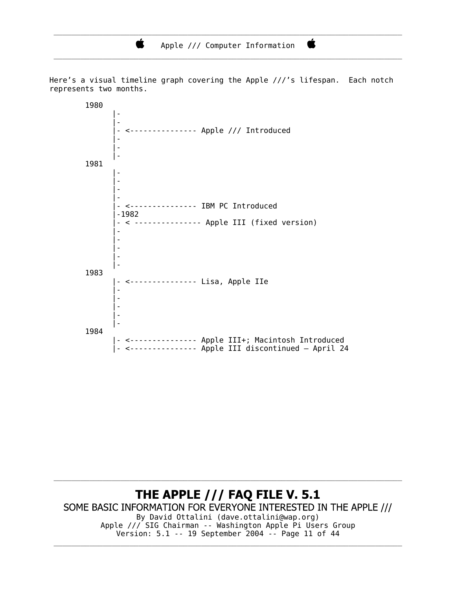Ŕ

Here's a visual timeline graph covering the Apple ///'s lifespan. Each notch represents two months.

 1980 |-<br>|-<br>|-|-<br>|-<br>|- |- <--------------- Apple /// Introduced |-<br>|-<br>|-|-<br>|-<br>|-|-<br>|-<br>|- 1981 |-<br>|-<br>|-|-<br>|-<br>|-|-<br>|-<br>|-|-<br>|-<br>|- |- <--------------- IBM PC Introduced |-1982 |- < --------------- Apple III (fixed version) |-<br>|-<br>|-|-<br>|-|-<br>|-|-<br>|-|-<br>|- 1983 |- <--------------- Lisa, Apple IIe |-<br>|-|-<br>|-|-<br>|-|-<br>|-|-<br>|- 1984 |- <--------------- Apple III+; Macintosh Introduced |- <--------------- Apple III discontinued – April 24

THE APPLE /// FAQ FILE V. 5.1 SOME BASIC INFORMATION FOR EVERYONE INTERESTED IN THE APPLE /// By David Ottalini (dave.ottalini@wap.org) Apple /// SIG Chairman -- Washington Apple Pi Users Group Version: 5.1 -- 19 September 2004 -- Page 11 of 44 \_\_\_\_\_\_\_\_\_\_\_\_\_\_\_\_\_\_\_\_\_\_\_\_\_\_\_\_\_\_\_\_\_\_\_\_\_\_\_\_\_\_\_\_\_\_\_\_\_\_\_\_\_\_\_\_\_\_\_\_\_\_\_\_\_\_\_\_\_\_\_\_\_\_\_\_\_\_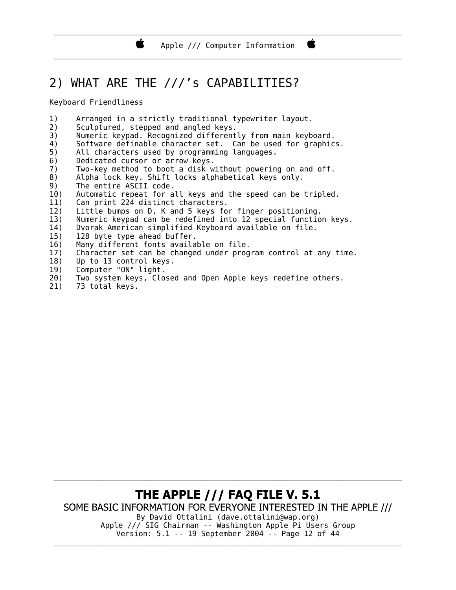\_\_\_\_\_\_\_\_\_\_\_\_\_\_\_\_\_\_\_\_\_\_\_\_\_\_\_\_\_\_\_\_\_\_\_\_\_\_\_\_\_\_\_\_\_\_\_\_\_\_\_\_\_\_\_\_\_\_\_\_\_\_\_\_\_\_\_\_\_\_\_\_\_\_\_\_\_\_

### 2) WHAT ARE THE ///'s CAPABILITIES?

Keyboard Friendliness

- 1) Arranged in a strictly traditional typewriter layout.
- $2)$  Sculptured, stepped and angled keys.

Ŕ.

- 3) Numeric keypad. Recognized differently from main keyboard.
- 4) Software definable character set. Can be used for graphics.
- 5) All characters used by programming languages.
- 6) Dedicated cursor or arrow keys.
- 7) Two-key method to boot a disk without powering on and off.
- 8) Alpha lock key. Shift locks alphabetical keys only.
- 9) The entire ASCII code.
- 10) Automatic repeat for all keys and the speed can be tripled.
- 11) Can print 224 distinct characters.
- 12) Little bumps on D, K and 5 keys for finger positioning.
- 13) Numeric keypad can be redefined into 12 special function keys.
- 14) Dvorak American simplified Keyboard available on file.
- 15) 128 byte type ahead buffer.
- 16) Many different fonts available on file.
- 17) Character set can be changed under program control at any time.
- 18) Up to 13 control keys.
- 19) Computer "ON" light.
- 20) Two system keys, Closed and Open Apple keys redefine others.
- 21) 73 total keys.

#### THE APPLE /// FAQ FILE V. 5.1 SOME BASIC INFORMATION FOR EVERYONE INTERESTED IN THE APPLE /// By David Ottalini (dave.ottalini@wap.org) Apple /// SIG Chairman -- Washington Apple Pi Users Group Version: 5.1 -- 19 September 2004 -- Page 12 of 44

\_\_\_\_\_\_\_\_\_\_\_\_\_\_\_\_\_\_\_\_\_\_\_\_\_\_\_\_\_\_\_\_\_\_\_\_\_\_\_\_\_\_\_\_\_\_\_\_\_\_\_\_\_\_\_\_\_\_\_\_\_\_\_\_\_\_\_\_\_\_\_\_\_\_\_\_\_\_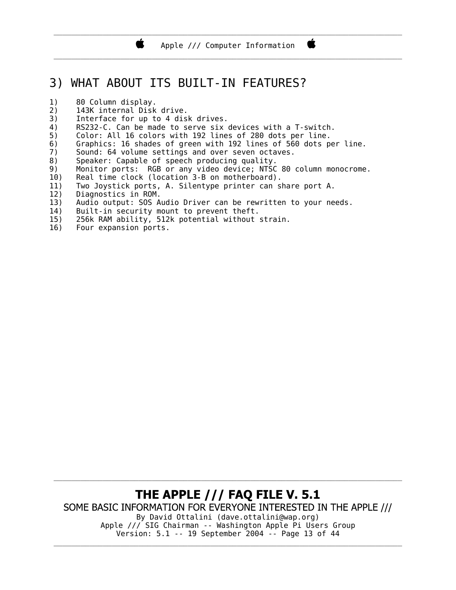Apple /// Computer Information \_\_\_\_\_\_\_\_\_\_\_\_\_\_\_\_\_\_\_\_\_\_\_\_\_\_\_\_\_\_\_\_\_\_\_\_\_\_\_\_\_\_\_\_\_\_\_\_\_\_\_\_\_\_\_\_\_\_\_\_\_\_\_\_\_\_\_\_\_\_\_\_\_\_\_\_\_\_

Ë

\_\_\_\_\_\_\_\_\_\_\_\_\_\_\_\_\_\_\_\_\_\_\_\_\_\_\_\_\_\_\_\_\_\_\_\_\_\_\_\_\_\_\_\_\_\_\_\_\_\_\_\_\_\_\_\_\_\_\_\_\_\_\_\_\_\_\_\_\_\_\_\_\_\_\_\_\_\_

### 3) WHAT ABOUT ITS BUILT-IN FEATURES?

- 1) 80 Column display.
- 2) 143K internal Disk drive.
- 3) Interface for up to 4 disk drives.

Ï.

- 4) RS232-C. Can be made to serve six devices with a T-switch.
- 5) Color: All 16 colors with 192 lines of 280 dots per line.
- 6) Graphics: 16 shades of green with 192 lines of 560 dots per line.
- 7) Sound: 64 volume settings and over seven octaves.
- 8) Speaker: Capable of speech producing quality.
- 9) Monitor ports: RGB or any video device; NTSC 80 column monocrome.
- 10) Real time clock (location 3-B on motherboard).
- 11) Two Joystick ports, A. Silentype printer can share port A.
- 12) Diagnostics in ROM.
- 13) Audio output: SOS Audio Driver can be rewritten to your needs.
- 14) Built-in security mount to prevent theft.
- 15) 256k RAM ability, 512k potential without strain.
- 16) Four expansion ports.

THE APPLE /// FAQ FILE V. 5.1 SOME BASIC INFORMATION FOR EVERYONE INTERESTED IN THE APPLE /// By David Ottalini (dave.ottalini@wap.org) Apple /// SIG Chairman -- Washington Apple Pi Users Group Version: 5.1 -- 19 September 2004 -- Page 13 of 44 \_\_\_\_\_\_\_\_\_\_\_\_\_\_\_\_\_\_\_\_\_\_\_\_\_\_\_\_\_\_\_\_\_\_\_\_\_\_\_\_\_\_\_\_\_\_\_\_\_\_\_\_\_\_\_\_\_\_\_\_\_\_\_\_\_\_\_\_\_\_\_\_\_\_\_\_\_\_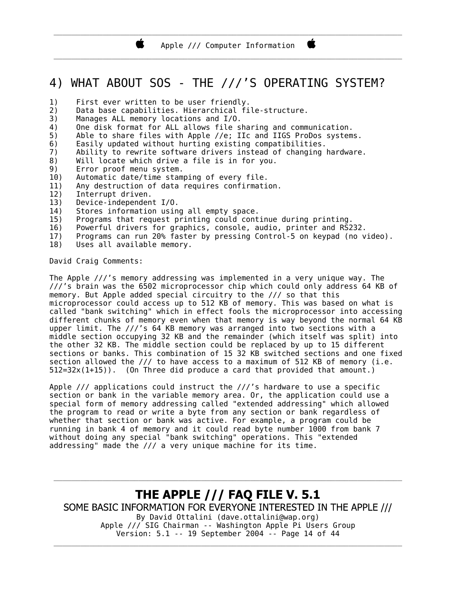### 4) WHAT ABOUT SOS - THE ///'S OPERATING SYSTEM?

- 1) First ever written to be user friendly.
- 2) Data base capabilities. Hierarchical file-structure.
- 3) Manages ALL memory locations and I/O.
- 4) One disk format for ALL allows file sharing and communication.
- 5) Able to share files with Apple //e; IIc and IIGS ProDos systems.
- 6) Easily updated without hurting existing compatibilities.
- 7) Ability to rewrite software drivers instead of changing hardware.
- 8) Will locate which drive a file is in for you.
- 9) Error proof menu system.
- 10) Automatic date/time stamping of every file.
- 11) Any destruction of data requires confirmation.
- 12) Interrupt driven.
- 13) Device-independent I/O.
- 14) Stores information using all empty space.
- 15) Programs that request printing could continue during printing.
- 16) Powerful drivers for graphics, console, audio, printer and RS232.
- 17) Programs can run 20% faster by pressing Control-5 on keypad (no video).
- 18) Uses all available memory.

David Craig Comments:

The Apple ///'s memory addressing was implemented in a very unique way. The ///'s brain was the 6502 microprocessor chip which could only address 64 KB of memory. But Apple added special circuitry to the /// so that this microprocessor could access up to 512 KB of memory. This was based on what is called "bank switching" which in effect fools the microprocessor into accessing different chunks of memory even when that memory is way beyond the normal 64 KB upper limit. The ///'s 64 KB memory was arranged into two sections with a middle section occupying 32 KB and the remainder (which itself was split) into the other 32 KB. The middle section could be replaced by up to 15 different sections or banks. This combination of 15 32 KB switched sections and one fixed section allowed the  $//$  to have access to a maximum of 512 KB of memory (i.e.  $512=32x(1+15)$ . (On Three did produce a card that provided that amount.)

Apple  $//$  applications could instruct the  $//'$ s hardware to use a specific section or bank in the variable memory area. Or, the application could use a special form of memory addressing called "extended addressing" which allowed the program to read or write a byte from any section or bank regardless of whether that section or bank was active. For example, a program could be running in bank 4 of memory and it could read byte number 1000 from bank 7 without doing any special "bank switching" operations. This "extended addressing" made the /// a very unique machine for its time.

**THE APPLE /// FAQ FILE V. 5.1** SOME BASIC INFORMATION FOR EVERYONE INTERESTED IN THE APPLE /// By David Ottalini (dave.ottalini@wap.org) Apple /// SIG Chairman -- Washington Apple Pi Users Group Version: 5.1 -- 19 September 2004 -- Page 14 of 44

\_\_\_\_\_\_\_\_\_\_\_\_\_\_\_\_\_\_\_\_\_\_\_\_\_\_\_\_\_\_\_\_\_\_\_\_\_\_\_\_\_\_\_\_\_\_\_\_\_\_\_\_\_\_\_\_\_\_\_\_\_\_\_\_\_\_\_\_\_\_\_\_\_\_\_\_\_\_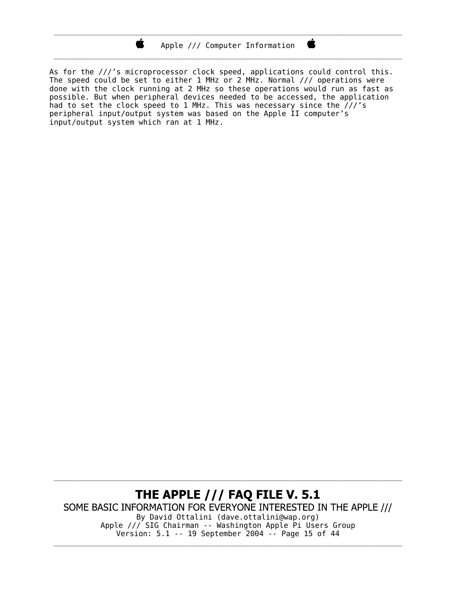Ŕ.

\_\_\_\_\_\_\_\_\_\_\_\_\_\_\_\_\_\_\_\_\_\_\_\_\_\_\_\_\_\_\_\_\_\_\_\_\_\_\_\_\_\_\_\_\_\_\_\_\_\_\_\_\_\_\_\_\_\_\_\_\_\_\_\_\_\_\_\_\_\_\_\_\_\_\_\_\_\_

Ë

As for the ///'s microprocessor clock speed, applications could control this. The speed could be set to either 1 MHz or 2 MHz. Normal  $\frac{1}{\sqrt{2}}$  operations were done with the clock running at 2 MHz so these operations would run as fast as possible. But when peripheral devices needed to be accessed, the application had to set the clock speed to 1 MHz. This was necessary since the  $\frac{\partial}{\partial t}$ 's peripheral input/output system was based on the Apple II computer's input/output system which ran at 1 MHz.

#### THE APPLE /// FAQ FILE V. 5.1 SOME BASIC INFORMATION FOR EVERYONE INTERESTED IN THE APPLE /// By David Ottalini (dave.ottalini@wap.org) Apple /// SIG Chairman -- Washington Apple Pi Users Group Version: 5.1 -- 19 September 2004 -- Page 15 of 44

\_\_\_\_\_\_\_\_\_\_\_\_\_\_\_\_\_\_\_\_\_\_\_\_\_\_\_\_\_\_\_\_\_\_\_\_\_\_\_\_\_\_\_\_\_\_\_\_\_\_\_\_\_\_\_\_\_\_\_\_\_\_\_\_\_\_\_\_\_\_\_\_\_\_\_\_\_\_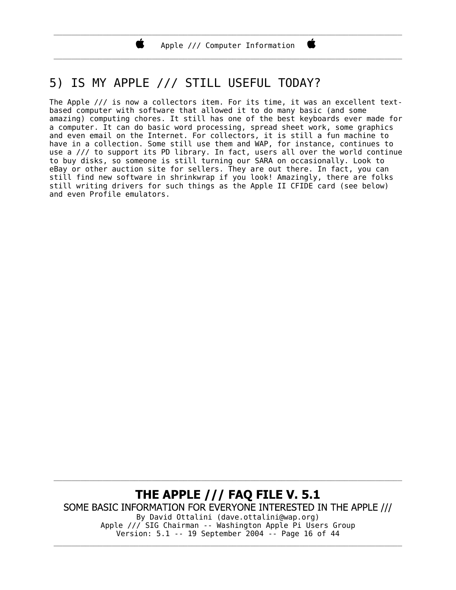\_\_\_\_\_\_\_\_\_\_\_\_\_\_\_\_\_\_\_\_\_\_\_\_\_\_\_\_\_\_\_\_\_\_\_\_\_\_\_\_\_\_\_\_\_\_\_\_\_\_\_\_\_\_\_\_\_\_\_\_\_\_\_\_\_\_\_\_\_\_\_\_\_\_\_\_\_\_

C

### 5) IS MY APPLE /// STILL USEFUL TODAY?

Ï.

The Apple /// is now a collectors item. For its time, it was an excellent textbased computer with software that allowed it to do many basic (and some amazing) computing chores. It still has one of the best keyboards ever made for a computer. It can do basic word processing, spread sheet work, some graphics and even email on the Internet. For collectors, it is still a fun machine to have in a collection. Some still use them and WAP, for instance, continues to use a /// to support its PD library. In fact, users all over the world continue to buy disks, so someone is still turning our SARA on occasionally. Look to eBay or other auction site for sellers. They are out there. In fact, you can still find new software in shrinkwrap if you look! Amazingly, there are folks still writing drivers for such things as the Apple II CFIDE card (see below) and even Profile emulators.

THE APPLE /// FAQ FILE V. 5.1 SOME BASIC INFORMATION FOR EVERYONE INTERESTED IN THE APPLE /// By David Ottalini (dave.ottalini@wap.org) Apple /// SIG Chairman -- Washington Apple Pi Users Group Version: 5.1 -- 19 September 2004 -- Page 16 of 44 \_\_\_\_\_\_\_\_\_\_\_\_\_\_\_\_\_\_\_\_\_\_\_\_\_\_\_\_\_\_\_\_\_\_\_\_\_\_\_\_\_\_\_\_\_\_\_\_\_\_\_\_\_\_\_\_\_\_\_\_\_\_\_\_\_\_\_\_\_\_\_\_\_\_\_\_\_\_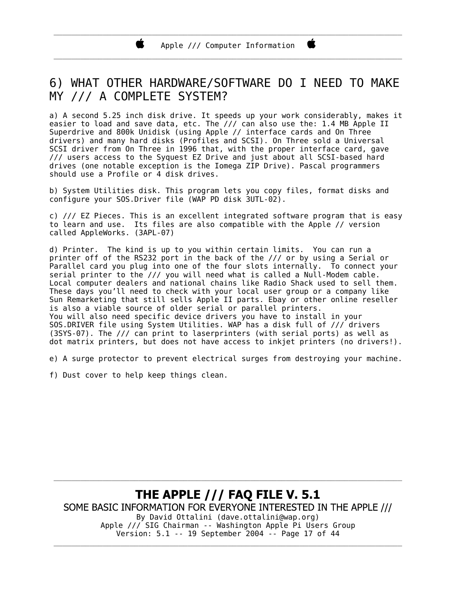\_\_\_\_\_\_\_\_\_\_\_\_\_\_\_\_\_\_\_\_\_\_\_\_\_\_\_\_\_\_\_\_\_\_\_\_\_\_\_\_\_\_\_\_\_\_\_\_\_\_\_\_\_\_\_\_\_\_\_\_\_\_\_\_\_\_\_\_\_\_\_\_\_\_\_\_\_\_ Apple /// Computer Information \_\_\_\_\_\_\_\_\_\_\_\_\_\_\_\_\_\_\_\_\_\_\_\_\_\_\_\_\_\_\_\_\_\_\_\_\_\_\_\_\_\_\_\_\_\_\_\_\_\_\_\_\_\_\_\_\_\_\_\_\_\_\_\_\_\_\_\_\_\_\_\_\_\_\_\_\_\_

Ë

### 6) WHAT OTHER HARDWARE/SOFTWARE DO I NEED TO MAKE MY /// A COMPLETE SYSTEM?

a) A second 5.25 inch disk drive. It speeds up your work considerably, makes it easier to load and save data, etc. The /// can also use the: 1.4 MB Apple II Superdrive and 800k Unidisk (using Apple // interface cards and On Three drivers) and many hard disks (Profiles and SCSI). On Three sold a Universal SCSI driver from On Three in 1996 that, with the proper interface card, gave /// users access to the Syquest EZ Drive and just about all SCSI-based hard drives (one notable exception is the Iomega ZIP Drive). Pascal programmers should use a Profile or 4 disk drives.

b) System Utilities disk. This program lets you copy files, format disks and configure your SOS.Driver file (WAP PD disk 3UTL-02).

c) /// EZ Pieces. This is an excellent integrated software program that is easy to learn and use. Its files are also compatible with the Apple // version called AppleWorks. (3APL-07)

d) Printer. The kind is up to you within certain limits. You can run a printer off of the RS232 port in the back of the /// or by using a Serial or Parallel card you plug into one of the four slots internally. To connect your serial printer to the /// you will need what is called a Null-Modem cable. Local computer dealers and national chains like Radio Shack used to sell them. These days you'll need to check with your local user group or a company like Sun Remarketing that still sells Apple II parts. Ebay or other online reseller is also a viable source of older serial or parallel printers. You will also need specific device drivers you have to install in your SOS.DRIVER file using System Utilities. WAP has a disk full of /// drivers (3SYS-07). The /// can print to laserprinters (with serial ports) as well as dot matrix printers, but does not have access to inkjet printers (no drivers!).

e) A surge protector to prevent electrical surges from destroying your machine.

f) Dust cover to help keep things clean.

#### **THE APPLE /// FAQ FILE V. 5.1** SOME BASIC INFORMATION FOR EVERYONE INTERESTED IN THE APPLE /// By David Ottalini (dave.ottalini@wap.org) Apple /// SIG Chairman -- Washington Apple Pi Users Group Version: 5.1 -- 19 September 2004 -- Page 17 of 44

\_\_\_\_\_\_\_\_\_\_\_\_\_\_\_\_\_\_\_\_\_\_\_\_\_\_\_\_\_\_\_\_\_\_\_\_\_\_\_\_\_\_\_\_\_\_\_\_\_\_\_\_\_\_\_\_\_\_\_\_\_\_\_\_\_\_\_\_\_\_\_\_\_\_\_\_\_\_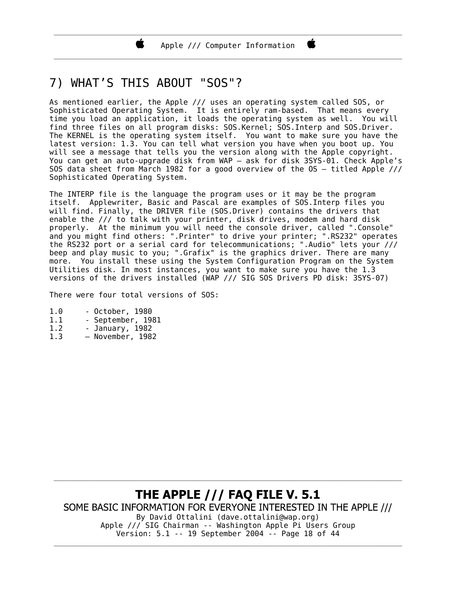\_\_\_\_\_\_\_\_\_\_\_\_\_\_\_\_\_\_\_\_\_\_\_\_\_\_\_\_\_\_\_\_\_\_\_\_\_\_\_\_\_\_\_\_\_\_\_\_\_\_\_\_\_\_\_\_\_\_\_\_\_\_\_\_\_\_\_\_\_\_\_\_\_\_\_\_\_\_ Apple /// Computer Information \_\_\_\_\_\_\_\_\_\_\_\_\_\_\_\_\_\_\_\_\_\_\_\_\_\_\_\_\_\_\_\_\_\_\_\_\_\_\_\_\_\_\_\_\_\_\_\_\_\_\_\_\_\_\_\_\_\_\_\_\_\_\_\_\_\_\_\_\_\_\_\_\_\_\_\_\_\_

Ë

### 7) WHAT'S THIS ABOUT "SOS"?

As mentioned earlier, the Apple /// uses an operating system called SOS, or Sophisticated Operating System. It is entirely ram-based. That means every time you load an application, it loads the operating system as well. You will find three files on all program disks: SOS Kernel; SOS Interp and SOS Driver. The KERNEL is the operating system itself. You want to make sure you have the latest version: 1.3. You can tell what version you have when you boot up. You will see a message that tells you the version along with the Apple copyright. You can get an auto-upgrade disk from WAP – ask for disk 3SYS-01. Check Apple's SOS data sheet from March 1982 for a good overview of the OS – titled Apple /// Sophisticated Operating System.

The INTERP file is the language the program uses or it may be the program itself. Applewriter, Basic and Pascal are examples of SOS.Interp files you will find. Finally, the DRIVER file (SOS. Driver) contains the drivers that enable the /// to talk with your printer, disk drives, modem and hard disk properly. At the minimum you will need the console driver, called ". Console" and you might find others: ".Printer" to drive your printer; ".RS232" operates the RS232 port or a serial card for telecommunications; ".Audio" lets your /// beep and play music to you; ".Grafix" is the graphics driver. There are many more. You install these using the System Configuration Program on the System Utilities disk. In most instances, you want to make sure you have the 1.3 versions of the drivers installed (WAP /// SIG SOS Drivers PD disk: 3SYS-07)

There were four total versions of SOS:

- 1.0 October, 1980
- 1.1 September, 1981
- 1.2 January, 1982
- 1.3 November, 1982

**THE APPLE /// FAQ FILE V. 5.1** SOME BASIC INFORMATION FOR EVERYONE INTERESTED IN THE APPLE /// By David Ottalini (dave.ottalini@wap.org) Apple /// SIG Chairman -- Washington Apple Pi Users Group Version: 5.1 -- 19 September 2004 -- Page 18 of 44 \_\_\_\_\_\_\_\_\_\_\_\_\_\_\_\_\_\_\_\_\_\_\_\_\_\_\_\_\_\_\_\_\_\_\_\_\_\_\_\_\_\_\_\_\_\_\_\_\_\_\_\_\_\_\_\_\_\_\_\_\_\_\_\_\_\_\_\_\_\_\_\_\_\_\_\_\_\_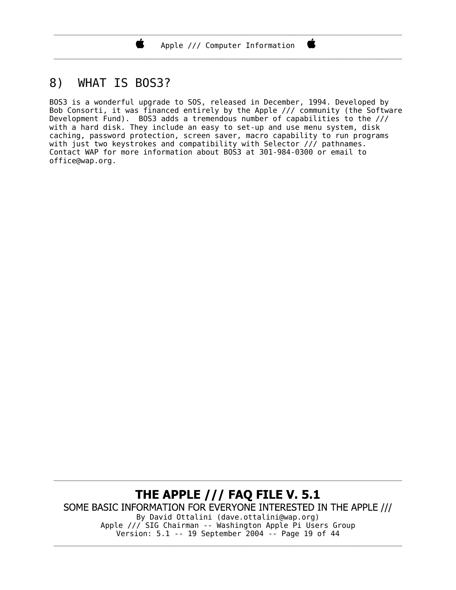\_\_\_\_\_\_\_\_\_\_\_\_\_\_\_\_\_\_\_\_\_\_\_\_\_\_\_\_\_\_\_\_\_\_\_\_\_\_\_\_\_\_\_\_\_\_\_\_\_\_\_\_\_\_\_\_\_\_\_\_\_\_\_\_\_\_\_\_\_\_\_\_\_\_\_\_\_\_

### 8) WHAT IS BOS3?

Ï.

BOS3 is a wonderful upgrade to SOS, released in December, 1994. Developed by Bob Consorti, it was financed entirely by the Apple /// community (the Software Devel opment Fund). BOS3 adds a tremendous number of capabilities to the /// with a hard disk. They include an easy to set-up and use menu system, disk caching, password protection, screen saver, macro capability to run programs with just two keystrokes and compatibility with Selector  $\frac{1}{\sqrt{2}}$  pathnames. Contact WAP for more information about BOS3 at 301-984-0300 or email to office@wap.org.

#### THE APPLE /// FAQ FILE V. 5.1 SOME BASIC INFORMATION FOR EVERYONE INTERESTED IN THE APPLE /// By David Ottalini (dave.ottalini@wap.org) Apple /// SIG Chairman -- Washington Apple Pi Users Group Version: 5.1 -- 19 September 2004 -- Page 19 of 44

\_\_\_\_\_\_\_\_\_\_\_\_\_\_\_\_\_\_\_\_\_\_\_\_\_\_\_\_\_\_\_\_\_\_\_\_\_\_\_\_\_\_\_\_\_\_\_\_\_\_\_\_\_\_\_\_\_\_\_\_\_\_\_\_\_\_\_\_\_\_\_\_\_\_\_\_\_\_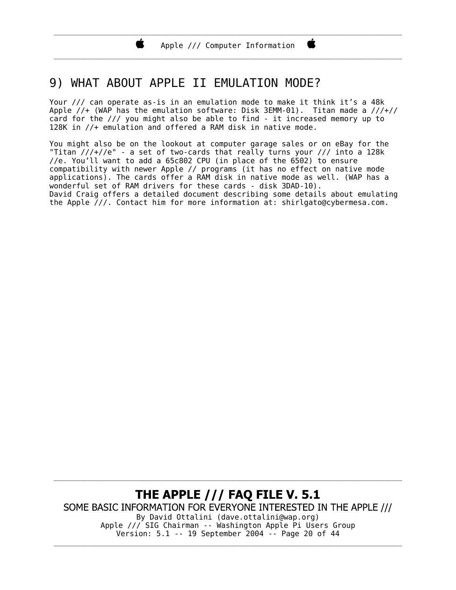\_\_\_\_\_\_\_\_\_\_\_\_\_\_\_\_\_\_\_\_\_\_\_\_\_\_\_\_\_\_\_\_\_\_\_\_\_\_\_\_\_\_\_\_\_\_\_\_\_\_\_\_\_\_\_\_\_\_\_\_\_\_\_\_\_\_\_\_\_\_\_\_\_\_\_\_\_\_

### 9) WHAT ABOUT APPLE II EMULATION MODE?

Your /// can operate as-is in an emulation mode to make it think it's a 48k Apple  $//+$  (WAP has the emulation software: Disk 3EMM-01). Titan made a  $//+//$ card for the /// you might also be able to find - it increased memory up to 128K in //+ emulation and offered a RAM disk in native mode.

You might also be on the lookout at computer garage sales or on eBay for the "Titan ///+//e" - a set of two-cards that really turns your /// into a 128k //e. You'll want to add a  $65c802$  CPU (in place of the  $6502$ ) to ensure compatibility with newer Apple // programs (it has no effect on native mode applications). The cards offer a RAM disk in native mode as well. (WAP has a wonderful set of RAM drivers for these cards - disk 3DAD-10). David Craig offers a detailed document describing some details about emulating the Apple ///. Contact him for more information at: shirlgato@cybermesa.com.

THE APPLE /// FAQ FILE V. 5.1 SOME BASIC INFORMATION FOR EVERYONE INTERESTED IN THE APPLE /// By David Ottalini (dave.ottalini@wap.org) Apple /// SIG Chairman -- Washington Apple Pi Users Group Version: 5.1 -- 19 September 2004 -- Page 20 of 44 \_\_\_\_\_\_\_\_\_\_\_\_\_\_\_\_\_\_\_\_\_\_\_\_\_\_\_\_\_\_\_\_\_\_\_\_\_\_\_\_\_\_\_\_\_\_\_\_\_\_\_\_\_\_\_\_\_\_\_\_\_\_\_\_\_\_\_\_\_\_\_\_\_\_\_\_\_\_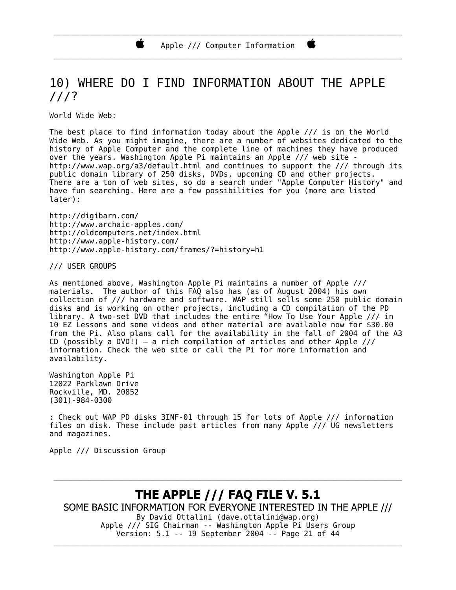### 10) WHERE DO I FIND INFORMATION ABOUT THE APPLE ///?

World Wide Web:

The best place to find information today about the Apple /// is on the World Wide Web. As you might imagine, there are a number of websites dedicated to the history of Apple Computer and the complete line of machines they have produced over the years. Washington Apple Pi maintains an Apple /// web site http://www.wap.org/a3/default.html and continues to support the /// through its public domain library of 250 disks, DVDs, upcoming CD and other projects. There are a ton of web sites, so do a search under "Apple Computer History" and have fun searching. Here are a few possibilities for you (more are listed later):

http://digibarn.com/ http://www.archaic-apples.com/ http://oldcomputers.net/index.html http://www.apple-history.com/ http://www.apple-history.com/frames/?=history=h1

/// USER GROUPS

As mentioned above, Washington Apple Pi maintains a number of Apple /// materials. The author of this FAQ also has (as of August 2004) his own collection of /// hardware and software. WAP still sells some 250 public domain disks and is working on other projects, including a CD compilation of the PD library. A two-set DVD that includes the entire "How To Use Your Apple /// in 10 EZ Lessons and some videos and other material are available now for \$30.00 from the Pi. Also plans call for the availability in the fall of 2004 of the A3 CD (possibly a DVD!) – a rich compilation of articles and other Apple /// information. Check the web site or call the Pi for more information and availability.

Washington Apple Pi 12022 Parklawn Drive Rockville, MD. 20852 (301)-984-0300

: Check out WAP PD disks 3INF-01 through 15 for lots of Apple /// information files on disk. These include past articles from many Apple /// UG newsletters and magazines.

Apple /// Discussion Group

**THE APPLE /// FAQ FILE V. 5.1** SOME BASIC INFORMATION FOR EVERYONE INTERESTED IN THE APPLE /// By David Ottalini (dave.ottalini@wap.org) Apple /// SIG Chairman -- Washington Apple Pi Users Group Version: 5.1 -- 19 September 2004 -- Page 21 of 44

\_\_\_\_\_\_\_\_\_\_\_\_\_\_\_\_\_\_\_\_\_\_\_\_\_\_\_\_\_\_\_\_\_\_\_\_\_\_\_\_\_\_\_\_\_\_\_\_\_\_\_\_\_\_\_\_\_\_\_\_\_\_\_\_\_\_\_\_\_\_\_\_\_\_\_\_\_\_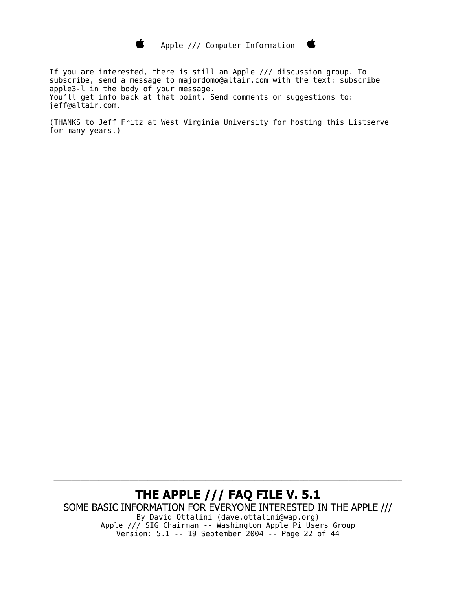\_\_\_\_\_\_\_\_\_\_\_\_\_\_\_\_\_\_\_\_\_\_\_\_\_\_\_\_\_\_\_\_\_\_\_\_\_\_\_\_\_\_\_\_\_\_\_\_\_\_\_\_\_\_\_\_\_\_\_\_\_\_\_\_\_\_\_\_\_\_\_\_\_\_\_\_\_\_

Ë

If you are interested, there is still an Apple /// discussion group. To subscribe, send a message to majordomo@altair.com with the text: subscribe apple3-l in the body of your message. You'll get info back at that point. Send comments or suggestions to: jeff@altair.com.

Ë,

(THANKS to Jeff Fritz at West Virginia University for hosting this Listserve for many years.)

#### THE APPLE /// FAQ FILE V. 5.1 SOME BASIC INFORMATION FOR EVERYONE INTERESTED IN THE APPLE /// By David Ottalini (dave.ottalini@wap.org) Apple /// SIG Chairman -- Washington Apple Pi Users Group Version: 5.1 -- 19 September 2004 -- Page 22 of 44

\_\_\_\_\_\_\_\_\_\_\_\_\_\_\_\_\_\_\_\_\_\_\_\_\_\_\_\_\_\_\_\_\_\_\_\_\_\_\_\_\_\_\_\_\_\_\_\_\_\_\_\_\_\_\_\_\_\_\_\_\_\_\_\_\_\_\_\_\_\_\_\_\_\_\_\_\_\_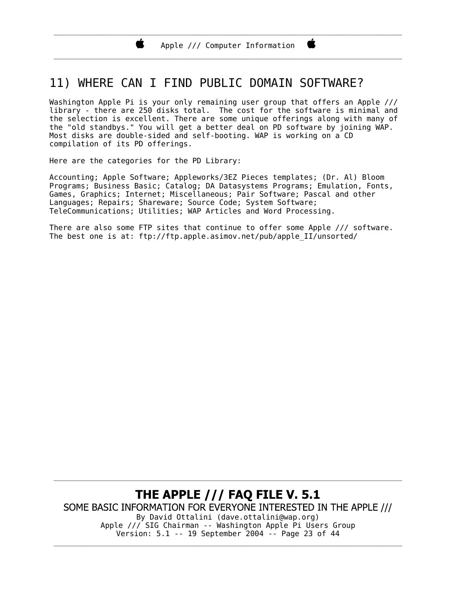### 11) WHERE CAN I FIND PUBLIC DOMAIN SOFTWARE?

Washington Apple Pi is your only remaining user group that offers an Apple /// library - there are 250 disks total. The cost for the software is minimal and the selection is excellent. There are some unique offerings along with many of the "old standbys." You will get a better deal on PD software by joining WAP. Most disks are double-sided and self-booting. WAP is working on a CD compilation of its PD offerings.

Here are the categories for the PD Library:

Ï.

Accounting; Apple Software; Appleworks/3EZ Pieces templates; (Dr. Al) Bloom Programs; Business Basic; Catalog; DA Datasystems Programs; Emulation, Fonts, Games, Graphics; Internet; Miscellaneous; Pair Software; Pascal and other Languages; Repairs; Shareware; Source Code; System Software; TeleCommunications; Utilities; WAP Articles and Word Processing.

There are also some FTP sites that continue to offer some Apple /// software. The best one is at: ftp://ftp.apple.asimov.net/pub/apple\_II/unsorted/

#### THE APPLE /// FAQ FILE V. 5.1 SOME BASIC INFORMATION FOR EVERYONE INTERESTED IN THE APPLE /// By David Ottalini (dave.ottalini@wap.org) Apple /// SIG Chairman -- Washington Apple Pi Users Group Version: 5.1 -- 19 September 2004 -- Page 23 of 44 \_\_\_\_\_\_\_\_\_\_\_\_\_\_\_\_\_\_\_\_\_\_\_\_\_\_\_\_\_\_\_\_\_\_\_\_\_\_\_\_\_\_\_\_\_\_\_\_\_\_\_\_\_\_\_\_\_\_\_\_\_\_\_\_\_\_\_\_\_\_\_\_\_\_\_\_\_\_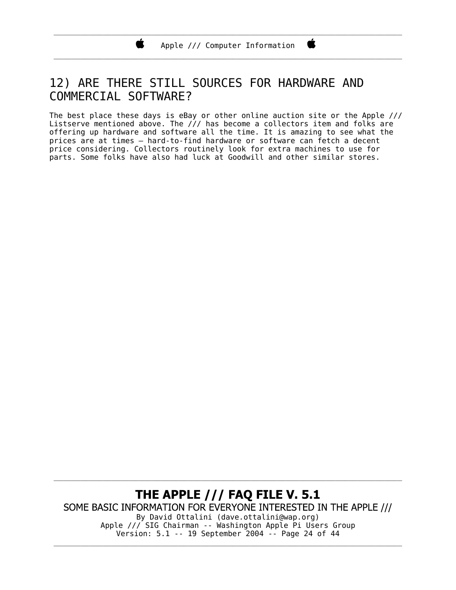\_\_\_\_\_\_\_\_\_\_\_\_\_\_\_\_\_\_\_\_\_\_\_\_\_\_\_\_\_\_\_\_\_\_\_\_\_\_\_\_\_\_\_\_\_\_\_\_\_\_\_\_\_\_\_\_\_\_\_\_\_\_\_\_\_\_\_\_\_\_\_\_\_\_\_\_\_\_

### 12) ARE THERE STILL SOURCES FOR HARDWARE AND COMMERCIAL SOFTWARE?

Ï.

The best place these days is eBay or other online auction site or the Apple /// Listserve mentioned above. The  $//$  has become a collectors item and folks are offering up hardware and software all the time. It is amazing to see what the prices are at times – hard-to-find hardware or software can fetch a decent price considering. Collectors routinely look for extra machines to use for parts. Some folks have also had luck at Goodwill and other similar stores.

THE APPLE /// FAQ FILE V. 5.1 SOME BASIC INFORMATION FOR EVERYONE INTERESTED IN THE APPLE /// By David Ottalini (dave.ottalini@wap.org) Apple /// SIG Chairman -- Washington Apple Pi Users Group Version: 5.1 -- 19 September 2004 -- Page 24 of 44

\_\_\_\_\_\_\_\_\_\_\_\_\_\_\_\_\_\_\_\_\_\_\_\_\_\_\_\_\_\_\_\_\_\_\_\_\_\_\_\_\_\_\_\_\_\_\_\_\_\_\_\_\_\_\_\_\_\_\_\_\_\_\_\_\_\_\_\_\_\_\_\_\_\_\_\_\_\_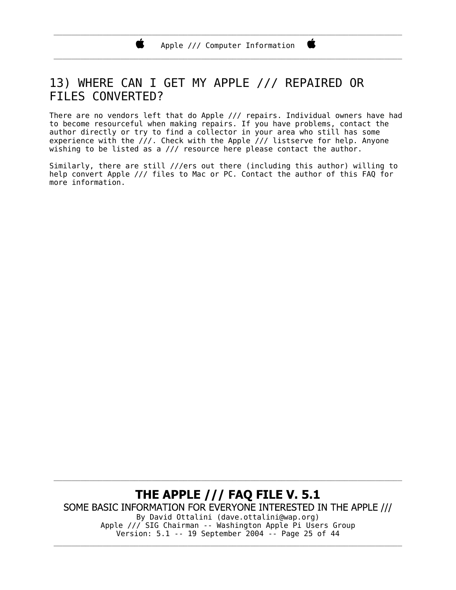\_\_\_\_\_\_\_\_\_\_\_\_\_\_\_\_\_\_\_\_\_\_\_\_\_\_\_\_\_\_\_\_\_\_\_\_\_\_\_\_\_\_\_\_\_\_\_\_\_\_\_\_\_\_\_\_\_\_\_\_\_\_\_\_\_\_\_\_\_\_\_\_\_\_\_\_\_\_

### 13) WHERE CAN I GET MY APPLE /// REPAIRED OR FILES CONVERTED?

Ï.

There are no vendors left that do Apple /// repairs. Individual owners have had to become resourceful when making repairs. If you have problems, contact the author directly or try to find a collector in your area who still has some experience with the  $\frac{\gamma}{\gamma}$ . Check with the Apple  $\frac{\gamma}{\gamma}$  listserve for help. Anyone wishing to be listed as a /// resource here please contact the author.

Similarly, there are still ///ers out there (including this author) willing to help convert Apple /// files to Mac or PC. Contact the author of this FAQ for more information.

THE APPLE /// FAQ FILE V. 5.1 SOME BASIC INFORMATION FOR EVERYONE INTERESTED IN THE APPLE /// By David Ottalini (dave.ottalini@wap.org) Apple /// SIG Chairman -- Washington Apple Pi Users Group Version: 5.1 -- 19 September 2004 -- Page 25 of 44 \_\_\_\_\_\_\_\_\_\_\_\_\_\_\_\_\_\_\_\_\_\_\_\_\_\_\_\_\_\_\_\_\_\_\_\_\_\_\_\_\_\_\_\_\_\_\_\_\_\_\_\_\_\_\_\_\_\_\_\_\_\_\_\_\_\_\_\_\_\_\_\_\_\_\_\_\_\_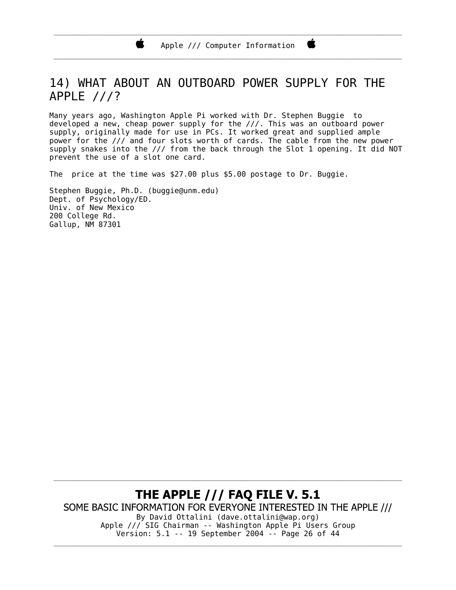### 14) WHAT ABOUT AN OUTBOARD POWER SUPPLY FOR THE APPLE ///?

Many years ago, Washington Apple Pi worked with Dr. Stephen Buggie to devel oped a new, cheap power supply for the ///. This was an outboard power supply, originally made for use in PCs. It worked great and supplied ample power for the /// and four slots worth of cards. The cable from the new power supply snakes into the  $\frac{1}{4}$  from the back through the Slot 1 opening. It did NOT prevent the use of a slot one card.

The price at the time was \$27.00 plus \$5.00 postage to Dr. Buggie.

Stephen Buggie, Ph.D. (buggie@unm.edu) Dept. of Psychology/ED. Univ. of New Mexico 200 College Rd. Gallup, NM 87301

Ï.

THE APPLE /// FAQ FILE V. 5.1 SOME BASIC INFORMATION FOR EVERYONE INTERESTED IN THE APPLE /// By David Ottalini (dave.ottalini@wap.org) Apple /// SIG Chairman -- Washington Apple Pi Users Group Version: 5.1 -- 19 September 2004 -- Page 26 of 44 \_\_\_\_\_\_\_\_\_\_\_\_\_\_\_\_\_\_\_\_\_\_\_\_\_\_\_\_\_\_\_\_\_\_\_\_\_\_\_\_\_\_\_\_\_\_\_\_\_\_\_\_\_\_\_\_\_\_\_\_\_\_\_\_\_\_\_\_\_\_\_\_\_\_\_\_\_\_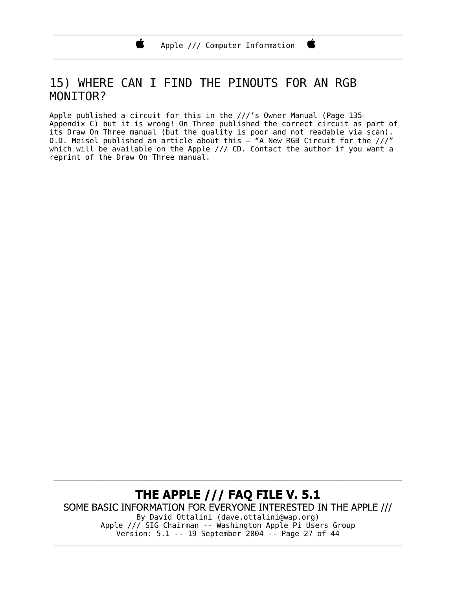\_\_\_\_\_\_\_\_\_\_\_\_\_\_\_\_\_\_\_\_\_\_\_\_\_\_\_\_\_\_\_\_\_\_\_\_\_\_\_\_\_\_\_\_\_\_\_\_\_\_\_\_\_\_\_\_\_\_\_\_\_\_\_\_\_\_\_\_\_\_\_\_\_\_\_\_\_\_

### 15) WHERE CAN I FIND THE PINOUTS FOR AN RGB MONITOR?

Ï.

Apple published a circuit for this in the ///'s Owner Manual (Page 135- Appendix C) but it is wrong! On Three published the correct circuit as part of its Draw On Three manual (but the quality is poor and not readable via scan). D.D. Meisel published an article about this – "A New RGB Circuit for the ///" which will be available on the Apple /// CD. Contact the author if you want a reprint of the Draw On Three manual.

THE APPLE /// FAQ FILE V. 5.1 SOME BASIC INFORMATION FOR EVERYONE INTERESTED IN THE APPLE /// By David Ottalini (dave.ottalini@wap.org) Apple /// SIG Chairman -- Washington Apple Pi Users Group Version: 5.1 -- 19 September 2004 -- Page 27 of 44

\_\_\_\_\_\_\_\_\_\_\_\_\_\_\_\_\_\_\_\_\_\_\_\_\_\_\_\_\_\_\_\_\_\_\_\_\_\_\_\_\_\_\_\_\_\_\_\_\_\_\_\_\_\_\_\_\_\_\_\_\_\_\_\_\_\_\_\_\_\_\_\_\_\_\_\_\_\_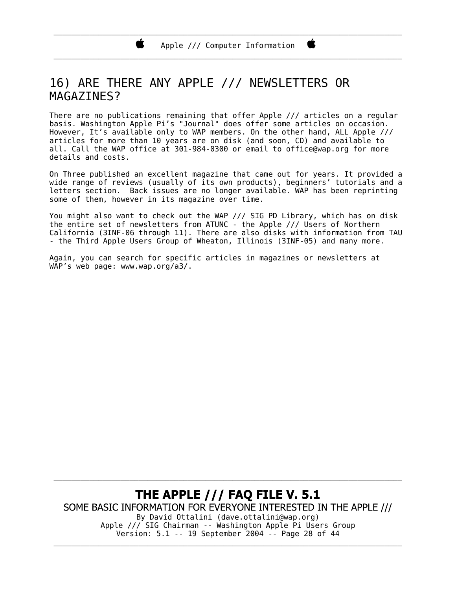\_\_\_\_\_\_\_\_\_\_\_\_\_\_\_\_\_\_\_\_\_\_\_\_\_\_\_\_\_\_\_\_\_\_\_\_\_\_\_\_\_\_\_\_\_\_\_\_\_\_\_\_\_\_\_\_\_\_\_\_\_\_\_\_\_\_\_\_\_\_\_\_\_\_\_\_\_\_

### 16) ARE THERE ANY APPLE /// NEWSLETTERS OR MAGAZI NES?

There are no publications remaining that offer Apple /// articles on a regular basis. Washington Apple Pi's "Journal" does offer some articles on occasion. However, It's available only to WAP members. On the other hand, ALL Apple /// articles for more than 10 years are on disk (and soon, CD) and available to all. Call the WAP office at 301-984-0300 or email to office@wap.org for more details and costs.

On Three published an excellent magazine that came out for years. It provided a wide range of reviews (usually of its own products), beginners' tutorials and a letters section. Back issues are no longer available. WAP has been reprinting some of them, however in its magazine over time.

You might also want to check out the WAP /// SIG PD Library, which has on disk the entire set of newsletters from ATUNC - the Apple /// Users of Northern California (3INF-06 through 11). There are also disks with information from TAU - the Third Apple Users Group of Wheaton, Illinois (3INF-05) and many more.

Again, you can search for specific articles in magazines or newsletters at WAP's web page: www.wap.org/a3/.

THE APPLE /// FAQ FILE V. 5.1 SOME BASIC INFORMATION FOR EVERYONE INTERESTED IN THE APPLE /// By David Ottalini (dave.ottalini@wap.org) Apple /// SIG Chairman -- Washington Apple Pi Users Group Version: 5.1 -- 19 September 2004 -- Page 28 of 44 \_\_\_\_\_\_\_\_\_\_\_\_\_\_\_\_\_\_\_\_\_\_\_\_\_\_\_\_\_\_\_\_\_\_\_\_\_\_\_\_\_\_\_\_\_\_\_\_\_\_\_\_\_\_\_\_\_\_\_\_\_\_\_\_\_\_\_\_\_\_\_\_\_\_\_\_\_\_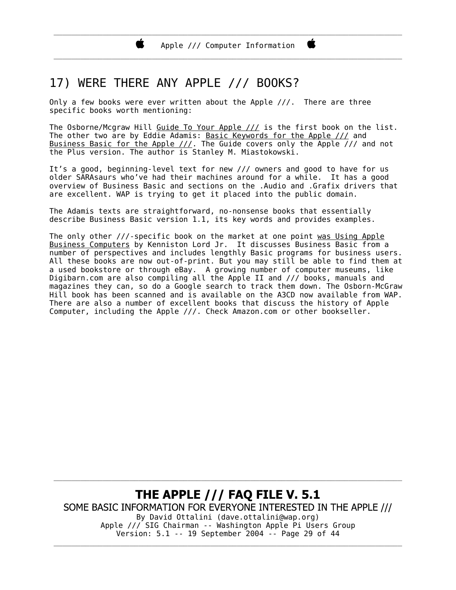\_\_\_\_\_\_\_\_\_\_\_\_\_\_\_\_\_\_\_\_\_\_\_\_\_\_\_\_\_\_\_\_\_\_\_\_\_\_\_\_\_\_\_\_\_\_\_\_\_\_\_\_\_\_\_\_\_\_\_\_\_\_\_\_\_\_\_\_\_\_\_\_\_\_\_\_\_\_

### 17) WERE THERE ANY APPLE /// BOOKS?

Only a few books were ever written about the Apple  $//$ . There are three specific books worth mentioning:

The Osborne/Mcgraw Hill Guide To Your Apple  $//$  is the first book on the list. The other two are by Eddie Adamis: Basic Keywords for the Apple /// and Business Basic for the Apple  $//$ . The Guide covers only the Apple  $//$  and not the Plus version. The author is Stanley M. Miastokowski.

It's a good, beginning-level text for new /// owners and good to have for us older SARAsaurs who've had their machines around for a while. It has a good overview of Business Basic and sections on the .Audio and .Grafix drivers that are excellent. WAP is trying to get it placed into the public domain.

The Adamis texts are straightforward, no-nonsense books that essentially describe Business Basic version 1.1, its key words and provides examples.

The only other  $//$ -specific book on the market at one point was Using Apple Business Computers by Kenniston Lord Jr. It discusses Business Basic from a number of perspectives and includes lengthly Basic programs for business users. All these books are now out-of-print. But you may still be able to find them at a used bookstore or through eBay. A growing number of computer museums, like Digibarn.com are also compiling all the Apple II and /// books, manuals and magazines they can, so do a Google search to track them down. The Osborn-McGraw Hill book has been scanned and is available on the A3CD now available from WAP. There are also a number of excellent books that discuss the history of Apple Computer, including the Apple ///. Check Amazon.com or other bookseller.

**THE APPLE /// FAQ FILE V. 5.1** SOME BASIC INFORMATION FOR EVERYONE INTERESTED IN THE APPLE /// By David Ottalini (dave.ottalini@wap.org) Apple /// SIG Chairman -- Washington Apple Pi Users Group Version: 5.1 -- 19 September 2004 -- Page 29 of 44 \_\_\_\_\_\_\_\_\_\_\_\_\_\_\_\_\_\_\_\_\_\_\_\_\_\_\_\_\_\_\_\_\_\_\_\_\_\_\_\_\_\_\_\_\_\_\_\_\_\_\_\_\_\_\_\_\_\_\_\_\_\_\_\_\_\_\_\_\_\_\_\_\_\_\_\_\_\_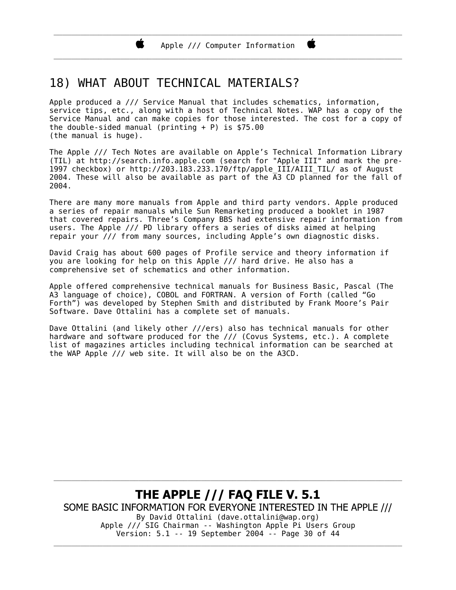\_\_\_\_\_\_\_\_\_\_\_\_\_\_\_\_\_\_\_\_\_\_\_\_\_\_\_\_\_\_\_\_\_\_\_\_\_\_\_\_\_\_\_\_\_\_\_\_\_\_\_\_\_\_\_\_\_\_\_\_\_\_\_\_\_\_\_\_\_\_\_\_\_\_\_\_\_\_

Ë

### 18) WHAT ABOUT TECHNICAL MATERIALS?

Apple produced a /// Service Manual that includes schematics, information, service tips, etc., along with a host of Technical Notes. WAP has a copy of the Service Manual and can make copies for those interested. The cost for a copy of the double-sided manual (printing  $+ P$ ) is \$75.00 (the manual is huge).

The Apple /// Tech Notes are available on Apple's Technical Information Library (TIL) at http://search.info.apple.com (search for "Apple III" and mark the pre-1997 checkbox) or http://203.183.233.170/ftp/apple\_III/AIII\_TIL/ as of August 2004. These will also be available as part of the A3 CD planned for the fall of 2004.

There are many more manuals from Apple and third party vendors. Apple produced a series of repair manuals while Sun Remarketing produced a booklet in 1987 that covered repairs. Three's Company BBS had extensive repair information from users. The Apple /// PD library offers a series of disks aimed at helping repair your /// from many sources, including Apple's own diagnostic disks.

David Craig has about 600 pages of Profile service and theory information if you are looking for help on this Apple /// hard drive. He also has a comprehensive set of schematics and other information.

Apple offered comprehensive technical manuals for Business Basic, Pascal (The A3 language of choice), COBOL and FORTRAN. A version of Forth (called "Go Forth") was developed by Stephen Smith and distributed by Frank Moore's Pair Software. Dave Ottalini has a complete set of manuals.

Dave Ottalini (and likely other ///ers) also has technical manuals for other hardware and software produced for the /// (Covus Systems, etc.). A complete list of magazines articles including technical information can be searched at the WAP Apple  $//$  web site. It will also be on the A3CD.

THE APPLE /// FAQ FILE V. 5.1 SOME BASIC INFORMATION FOR EVERYONE INTERESTED IN THE APPLE /// By David Ottalini (dave.ottalini@wap.org) Apple /// SIG Chairman -- Washington Apple Pi Users Group Version: 5.1 -- 19 September 2004 -- Page 30 of 44

\_\_\_\_\_\_\_\_\_\_\_\_\_\_\_\_\_\_\_\_\_\_\_\_\_\_\_\_\_\_\_\_\_\_\_\_\_\_\_\_\_\_\_\_\_\_\_\_\_\_\_\_\_\_\_\_\_\_\_\_\_\_\_\_\_\_\_\_\_\_\_\_\_\_\_\_\_\_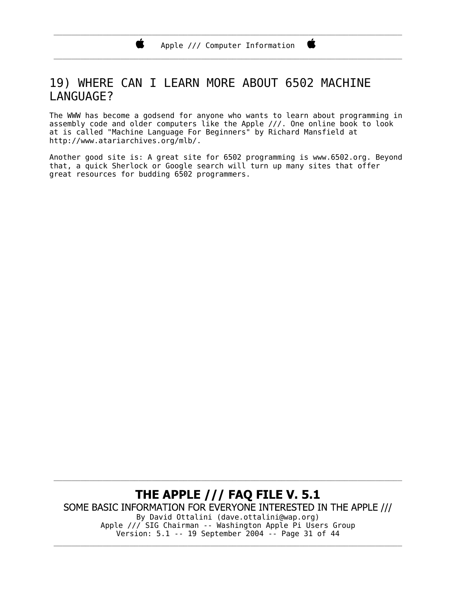\_\_\_\_\_\_\_\_\_\_\_\_\_\_\_\_\_\_\_\_\_\_\_\_\_\_\_\_\_\_\_\_\_\_\_\_\_\_\_\_\_\_\_\_\_\_\_\_\_\_\_\_\_\_\_\_\_\_\_\_\_\_\_\_\_\_\_\_\_\_\_\_\_\_\_\_\_\_

### 19) WHERE CAN I LEARN MORE ABOUT 6502 MACHINE LANGUAGE?

Ŕ

The WWW has become a godsend for anyone who wants to learn about programming in assembly code and older computers like the Apple ///. One online book to look at is called "Machine Language For Beginners" by Richard Mansfield at http://www.atariarchives.org/mlb/.

Another good site is: A great site for 6502 programming is www.6502.org. Beyond that, a quick Sherlock or Google search will turn up many sites that offer great resources for budding 6502 programmers.

THE APPLE /// FAQ FILE V. 5.1 SOME BASIC INFORMATION FOR EVERYONE INTERESTED IN THE APPLE /// By David Ottalini (dave.ottalini@wap.org) Apple /// SIG Chairman -- Washington Apple Pi Users Group Version: 5.1 -- 19 September 2004 -- Page 31 of 44 \_\_\_\_\_\_\_\_\_\_\_\_\_\_\_\_\_\_\_\_\_\_\_\_\_\_\_\_\_\_\_\_\_\_\_\_\_\_\_\_\_\_\_\_\_\_\_\_\_\_\_\_\_\_\_\_\_\_\_\_\_\_\_\_\_\_\_\_\_\_\_\_\_\_\_\_\_\_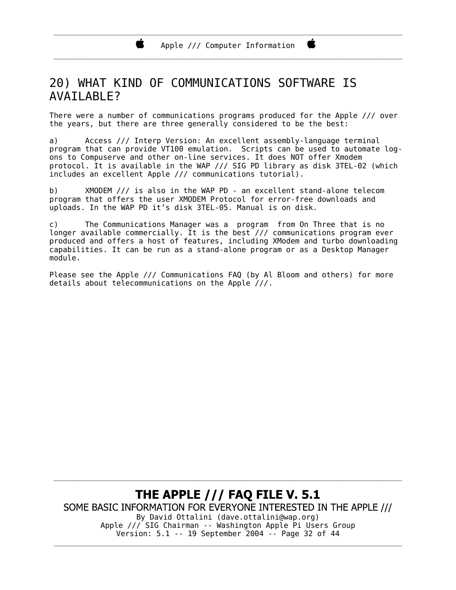\_\_\_\_\_\_\_\_\_\_\_\_\_\_\_\_\_\_\_\_\_\_\_\_\_\_\_\_\_\_\_\_\_\_\_\_\_\_\_\_\_\_\_\_\_\_\_\_\_\_\_\_\_\_\_\_\_\_\_\_\_\_\_\_\_\_\_\_\_\_\_\_\_\_\_\_\_\_

### 20) WHAT KIND OF COMMUNICATIONS SOFTWARE IS **AVAI LABLE?**

There were a number of communications programs produced for the Apple /// over the years, but there are three generally considered to be the best:

a) Access /// Interp Version: An excellent assembly-language terminal program that can provide VT100 emulation. Scripts can be used to automate logons to Compuserve and other on-line services. It does NOT offer Xmodem protocol. It is available in the WAP /// SIG PD library as disk 3TEL-02 (which includes an excellent Apple /// communications tutorial).

b) XMODEM /// is also in the WAP PD - an excellent stand-alone telecom program that offers the user XMODEM Protocol for error-free downloads and uploads. In the WAP PD it's disk 3TEL-05. Manual is on disk.

c) The Communications Manager was a program from On Three that is no longer available commercially. It is the best /// communications program ever produced and offers a host of features, including XModem and turbo downloading capabilities. It can be run as a stand-alone program or as a Desktop Manager module.

Please see the Apple /// Communications FAQ (by Al Bloom and others) for more details about telecommunications on the Apple  $\frac{1}{1}$ .

**THE APPLE /// FAQ FILE V. 5.1** SOME BASIC INFORMATION FOR EVERYONE INTERESTED IN THE APPLE /// By David Ottalini (dave.ottalini@wap.org) Apple /// SIG Chairman -- Washington Apple Pi Users Group Version: 5.1 -- 19 September 2004 -- Page 32 of 44

\_\_\_\_\_\_\_\_\_\_\_\_\_\_\_\_\_\_\_\_\_\_\_\_\_\_\_\_\_\_\_\_\_\_\_\_\_\_\_\_\_\_\_\_\_\_\_\_\_\_\_\_\_\_\_\_\_\_\_\_\_\_\_\_\_\_\_\_\_\_\_\_\_\_\_\_\_\_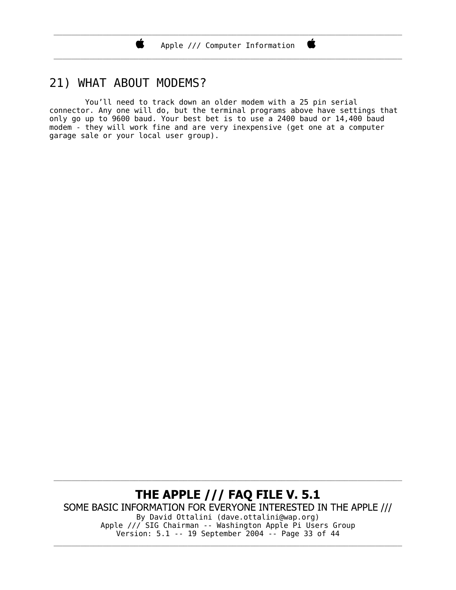\_\_\_\_\_\_\_\_\_\_\_\_\_\_\_\_\_\_\_\_\_\_\_\_\_\_\_\_\_\_\_\_\_\_\_\_\_\_\_\_\_\_\_\_\_\_\_\_\_\_\_\_\_\_\_\_\_\_\_\_\_\_\_\_\_\_\_\_\_\_\_\_\_\_\_\_\_\_

### 21) WHAT ABOUT MODEMS?

Ï.

 You'll need to track down an older modem with a 25 pin serial connector. Any one will do, but the terminal programs above have settings that only go up to 9600 baud. Your best bet is to use a 2400 baud or 14,400 baud modem - they will work fine and are very inexpensive (get one at a computer garage sale or your local user group).

THE APPLE /// FAQ FILE V. 5.1 SOME BASIC INFORMATION FOR EVERYONE INTERESTED IN THE APPLE /// By David Ottalini (dave.ottalini@wap.org) Apple /// SIG Chairman -- Washington Apple Pi Users Group Version: 5.1 -- 19 September 2004 -- Page 33 of 44

\_\_\_\_\_\_\_\_\_\_\_\_\_\_\_\_\_\_\_\_\_\_\_\_\_\_\_\_\_\_\_\_\_\_\_\_\_\_\_\_\_\_\_\_\_\_\_\_\_\_\_\_\_\_\_\_\_\_\_\_\_\_\_\_\_\_\_\_\_\_\_\_\_\_\_\_\_\_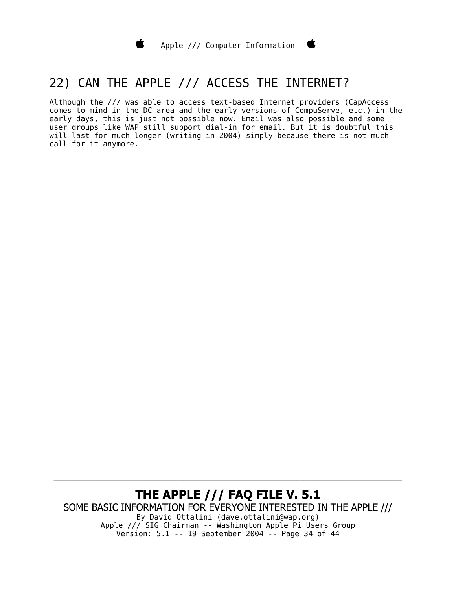\_\_\_\_\_\_\_\_\_\_\_\_\_\_\_\_\_\_\_\_\_\_\_\_\_\_\_\_\_\_\_\_\_\_\_\_\_\_\_\_\_\_\_\_\_\_\_\_\_\_\_\_\_\_\_\_\_\_\_\_\_\_\_\_\_\_\_\_\_\_\_\_\_\_\_\_\_\_

C

### 22) CAN THE APPLE /// ACCESS THE INTERNET?

Ï.

Although the /// was able to access text-based Internet providers (CapAccess comes to mind in the DC area and the early versions of CompuServe, etc.) in the early days, this is just not possible now. Email was also possible and some user groups like WAP still support dial-in for email. But it is doubtful this will last for much longer (writing in 2004) simply because there is not much call for it anymore.

THE APPLE /// FAQ FILE V. 5.1 SOME BASIC INFORMATION FOR EVERYONE INTERESTED IN THE APPLE /// By David Ottalini (dave.ottalini@wap.org) Apple /// SIG Chairman -- Washington Apple Pi Users Group Version: 5.1 -- 19 September 2004 -- Page 34 of 44

\_\_\_\_\_\_\_\_\_\_\_\_\_\_\_\_\_\_\_\_\_\_\_\_\_\_\_\_\_\_\_\_\_\_\_\_\_\_\_\_\_\_\_\_\_\_\_\_\_\_\_\_\_\_\_\_\_\_\_\_\_\_\_\_\_\_\_\_\_\_\_\_\_\_\_\_\_\_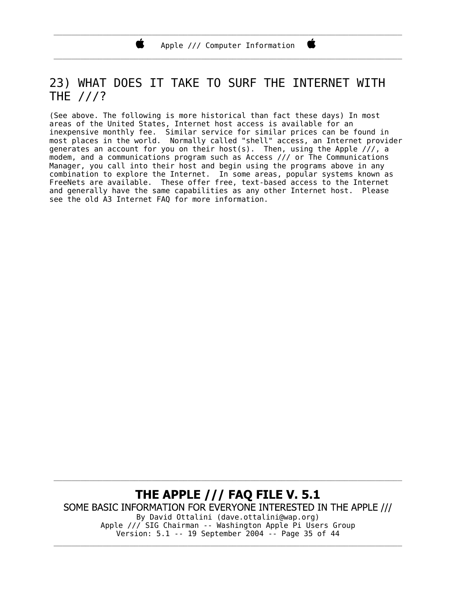\_\_\_\_\_\_\_\_\_\_\_\_\_\_\_\_\_\_\_\_\_\_\_\_\_\_\_\_\_\_\_\_\_\_\_\_\_\_\_\_\_\_\_\_\_\_\_\_\_\_\_\_\_\_\_\_\_\_\_\_\_\_\_\_\_\_\_\_\_\_\_\_\_\_\_\_\_\_

### 23) WHAT DOES IT TAKE TO SURF THE INTERNET WITH THE ///?

(See above. The following is more historical than fact these days) In most areas of the United States, Internet host access is available for an inexpensive monthly fee. Similar service for similar prices can be found in most places in the world. Normally called "shell" access, an Internet provider generates an account for you on their host(s). Then, using the Apple  $/$ //, a modem, and a communications program such as Access /// or The Communications Manager, you call into their host and begin using the programs above in any combination to explore the Internet. In some areas, popular systems known as FreeNets are available. These offer free, text-based access to the Internet and generally have the same capabilities as any other Internet host. Please see the old A3 Internet FAQ for more information.

THE APPLE /// FAQ FILE V. 5.1 SOME BASIC INFORMATION FOR EVERYONE INTERESTED IN THE APPLE /// By David Ottalini (dave.ottalini@wap.org) Apple /// SIG Chairman -- Washington Apple Pi Users Group Version: 5.1 -- 19 September 2004 -- Page 35 of 44 \_\_\_\_\_\_\_\_\_\_\_\_\_\_\_\_\_\_\_\_\_\_\_\_\_\_\_\_\_\_\_\_\_\_\_\_\_\_\_\_\_\_\_\_\_\_\_\_\_\_\_\_\_\_\_\_\_\_\_\_\_\_\_\_\_\_\_\_\_\_\_\_\_\_\_\_\_\_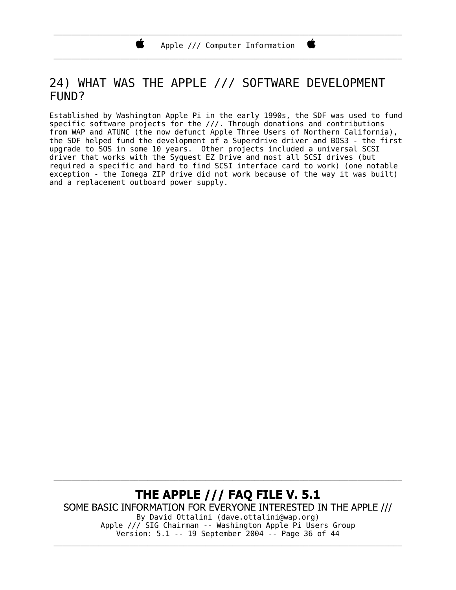Ï.

\_\_\_\_\_\_\_\_\_\_\_\_\_\_\_\_\_\_\_\_\_\_\_\_\_\_\_\_\_\_\_\_\_\_\_\_\_\_\_\_\_\_\_\_\_\_\_\_\_\_\_\_\_\_\_\_\_\_\_\_\_\_\_\_\_\_\_\_\_\_\_\_\_\_\_\_\_\_

### 24) WHAT WAS THE APPLE /// SOFTWARE DEVELOPMENT FUND?

Established by Washington Apple Pi in the early 1990s, the SDF was used to fund specific software projects for the ///. Through donations and contributions from WAP and ATUNC (the now defunct Apple Three Users of Northern California), the SDF helped fund the development of a Superdrive driver and BOS3 - the first upgrade to SOS in some 10 years. Other projects included a universal SCSI driver that works with the Syquest EZ Drive and most all SCSI drives (but required a specific and hard to find SCSI interface card to work) (one notable exception - the Iomega ZIP drive did not work because of the way it was built) and a replacement outboard power supply.

THE APPLE /// FAQ FILE V. 5.1 SOME BASIC INFORMATION FOR EVERYONE INTERESTED IN THE APPLE /// By David Ottalini (dave.ottalini@wap.org) Apple /// SIG Chairman -- Washington Apple Pi Users Group Version: 5.1 -- 19 September 2004 -- Page 36 of 44 \_\_\_\_\_\_\_\_\_\_\_\_\_\_\_\_\_\_\_\_\_\_\_\_\_\_\_\_\_\_\_\_\_\_\_\_\_\_\_\_\_\_\_\_\_\_\_\_\_\_\_\_\_\_\_\_\_\_\_\_\_\_\_\_\_\_\_\_\_\_\_\_\_\_\_\_\_\_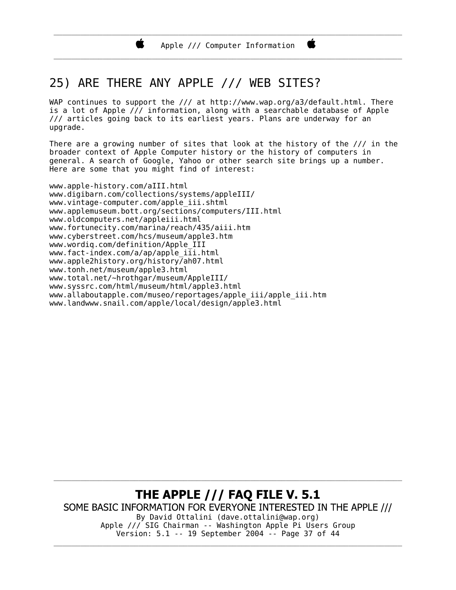\_\_\_\_\_\_\_\_\_\_\_\_\_\_\_\_\_\_\_\_\_\_\_\_\_\_\_\_\_\_\_\_\_\_\_\_\_\_\_\_\_\_\_\_\_\_\_\_\_\_\_\_\_\_\_\_\_\_\_\_\_\_\_\_\_\_\_\_\_\_\_\_\_\_\_\_\_\_

### 25) ARE THERE ANY APPLE /// WEB SITES?

WAP continues to support the /// at http://www.wap.org/a3/default.html. There is a lot of Apple  $\sqrt{\ell}$  information, along with a searchable database of Apple /// articles going back to its earliest years. Plans are underway for an upgrade.

There are a growing number of sites that look at the history of the /// in the broader context of Apple Computer history or the history of computers in general. A search of Google, Yahoo or other search site brings up a number. Here are some that you might find of interest:

www.apple-history.com/aIII.html www.digibarn.com/collections/systems/appleIII/ www.vintage-computer.com/apple\_iii.shtml www.applemuseum.bott.org/sections/computers/III.html www.oldcomputers.net/appleiii.html www.fortunecity.com/marina/reach/435/aiii.htm www.cyberstreet.com/hcs/museum/apple3.htm www.wordiq.com/definition/Apple\_III www.fact-index.com/a/ap/apple\_iii.html www.apple2history.org/history/ah07.html www.tonh.net/museum/apple3.html www.total.net/~hrothgar/museum/AppleIII/ www.syssrc.com/html/museum/html/apple3.html www.allaboutapple.com/museo/reportages/apple\_iii/apple\_iii.htm www.landwww.snail.com/apple/local/design/apple3.html

THE APPLE /// FAQ FILE V. 5.1 SOME BASIC INFORMATION FOR EVERYONE INTERESTED IN THE APPLE /// By David Ottalini (dave.ottalini@wap.org) Apple /// SIG Chairman -- Washington Apple Pi Users Group Version: 5.1 -- 19 September 2004 -- Page 37 of 44 \_\_\_\_\_\_\_\_\_\_\_\_\_\_\_\_\_\_\_\_\_\_\_\_\_\_\_\_\_\_\_\_\_\_\_\_\_\_\_\_\_\_\_\_\_\_\_\_\_\_\_\_\_\_\_\_\_\_\_\_\_\_\_\_\_\_\_\_\_\_\_\_\_\_\_\_\_\_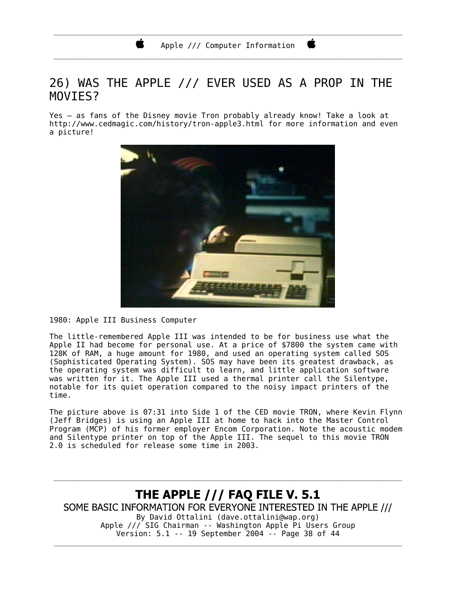\_\_\_\_\_\_\_\_\_\_\_\_\_\_\_\_\_\_\_\_\_\_\_\_\_\_\_\_\_\_\_\_\_\_\_\_\_\_\_\_\_\_\_\_\_\_\_\_\_\_\_\_\_\_\_\_\_\_\_\_\_\_\_\_\_\_\_\_\_\_\_\_\_\_\_\_\_\_

### 26) WAS THE APPLE /// EVER USED AS A PROP IN THE MOVI<sub>ES?</sub>

Yes – as fans of the Disney movie Tron probably already know! Take a look at http://www.cedmagic.com/history/tron-apple3.html for more information and even a picture!



1980: Apple III Business Computer

The little-remembered Apple III was intended to be for business use what the Apple II had become for personal use. At a price of \$7800 the system came with 128K of RAM, a huge amount for 1980, and used an operating system called SOS (Sophisticated Operating System). SOS may have been its greatest drawback, as the operating system was difficult to learn, and little application software was written for it. The Apple III used a thermal printer call the Silentype, notable for its quiet operation compared to the noisy impact printers of the time.

The picture above is 07:31 into Side 1 of the CED movie TRON, where Kevin Flynn (Jeff Bridges) is using an Apple III at home to hack into the Master Control Program (MCP) of his former employer Encom Corporation. Note the acoustic modem and Silentype printer on top of the Apple III. The sequel to this movie TRON 2.0 is scheduled for release some time in 2003.

**THE APPLE /// FAQ FILE V. 5.1** SOME BASIC INFORMATION FOR EVERYONE INTERESTED IN THE APPLE /// By David Ottalini (dave.ottalini@wap.org) Apple /// SIG Chairman -- Washington Apple Pi Users Group Version: 5.1 -- 19 September 2004 -- Page 38 of 44

\_\_\_\_\_\_\_\_\_\_\_\_\_\_\_\_\_\_\_\_\_\_\_\_\_\_\_\_\_\_\_\_\_\_\_\_\_\_\_\_\_\_\_\_\_\_\_\_\_\_\_\_\_\_\_\_\_\_\_\_\_\_\_\_\_\_\_\_\_\_\_\_\_\_\_\_\_\_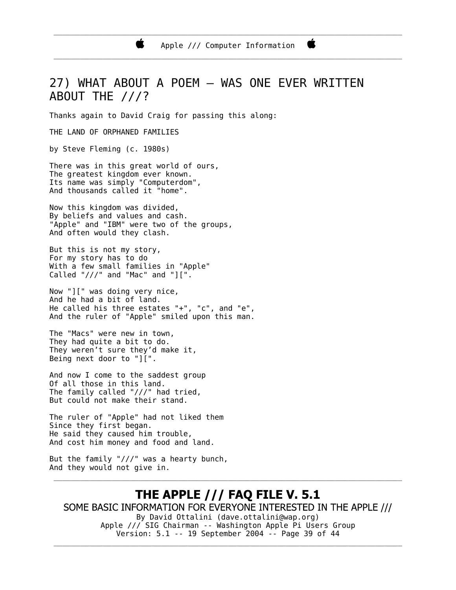\_\_\_\_\_\_\_\_\_\_\_\_\_\_\_\_\_\_\_\_\_\_\_\_\_\_\_\_\_\_\_\_\_\_\_\_\_\_\_\_\_\_\_\_\_\_\_\_\_\_\_\_\_\_\_\_\_\_\_\_\_\_\_\_\_\_\_\_\_\_\_\_\_\_\_\_\_\_

### 27) WHAT ABOUT A POEM – WAS ONE EVER WRITTEN ABOUT THE ///?

Thanks again to David Craig for passing this along:

THE LAND OF ORPHANED FAMILIES

by Steve Fleming (c. 1980s)

There was in this great world of ours, The greatest kingdom ever known. Its name was simply "Computerdom", And thousands called it "home".

Now this kingdom was divided, By beliefs and values and cash. "Apple" and "IBM" were two of the groups, And often would they clash.

But this is not my story, For my story has to do With a few small families in "Apple" Called " $\frac{1}{2}$  and "Mac" and " $\left[\begin{array}{c} 1 \end{array}\right]$ ".

Now "][" was doing very nice, And he had a bit of land. He called his three estates "+", "c", and "e", And the ruler of "Apple" smiled upon this man.

The "Macs" were new in town, They had quite a bit to do. They weren't sure they'd make it, Being next door to " $\check{||}$ ".

And now I come to the saddest group Of all those in this land. The family called "///" had tried, But could not make their stand.

The ruler of "Apple" had not liked them Since they first began. He said they caused him trouble, And cost him money and food and land.

But the family " $//'$ " was a hearty bunch, And they would not give in.

**THE APPLE /// FAQ FILE V. 5.1** SOME BASIC INFORMATION FOR EVERYONE INTERESTED IN THE APPLE /// By David Ottalini (dave.ottalini@wap.org) Apple /// SIG Chairman -- Washington Apple Pi Users Group Version: 5.1 -- 19 September 2004 -- Page 39 of 44

\_\_\_\_\_\_\_\_\_\_\_\_\_\_\_\_\_\_\_\_\_\_\_\_\_\_\_\_\_\_\_\_\_\_\_\_\_\_\_\_\_\_\_\_\_\_\_\_\_\_\_\_\_\_\_\_\_\_\_\_\_\_\_\_\_\_\_\_\_\_\_\_\_\_\_\_\_\_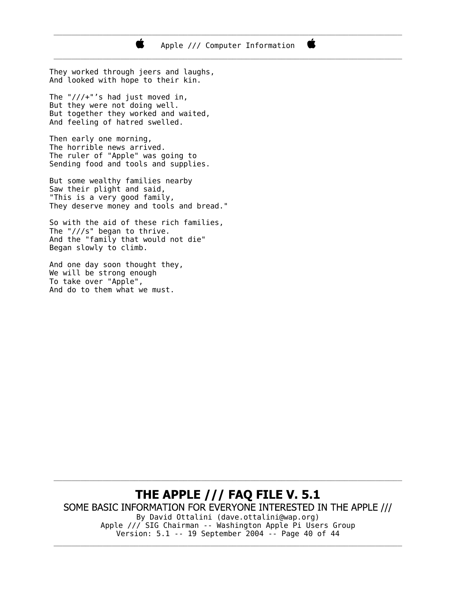They worked through jeers and laughs, And looked with hope to their kin. The " $///+$ "'s had just moved in, But they were not doing well. But together they worked and waited,

к

Then early one morning, The horrible news arrived. The ruler of "Apple" was going to Sending food and tools and supplies.

And feeling of hatred swelled.

But some wealthy families nearby Saw their plight and said, "This is a very good family, They deserve money and tools and bread."

So with the aid of these rich families, The "///s" began to thrive. And the "family that would not die" Began slowly to climb.

And one day soon thought they, We will be strong enough To take over "Apple", And do to them what we must.

#### THE APPLE /// FAQ FILE V. 5.1 SOME BASIC INFORMATION FOR EVERYONE INTERESTED IN THE APPLE /// By David Ottalini (dave.ottalini@wap.org) Apple /// SIG Chairman -- Washington Apple Pi Users Group

\_\_\_\_\_\_\_\_\_\_\_\_\_\_\_\_\_\_\_\_\_\_\_\_\_\_\_\_\_\_\_\_\_\_\_\_\_\_\_\_\_\_\_\_\_\_\_\_\_\_\_\_\_\_\_\_\_\_\_\_\_\_\_\_\_\_\_\_\_\_\_\_\_\_\_\_\_\_

Version: 5.1 -- 19 September 2004 -- Page 40 of 44 \_\_\_\_\_\_\_\_\_\_\_\_\_\_\_\_\_\_\_\_\_\_\_\_\_\_\_\_\_\_\_\_\_\_\_\_\_\_\_\_\_\_\_\_\_\_\_\_\_\_\_\_\_\_\_\_\_\_\_\_\_\_\_\_\_\_\_\_\_\_\_\_\_\_\_\_\_\_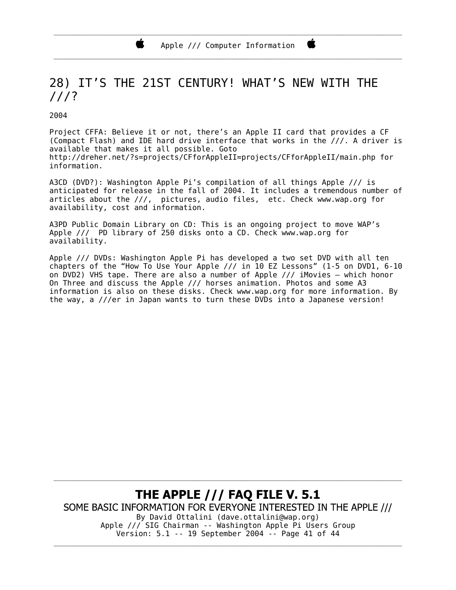### 28) IT'S THE 21ST CENTURY! WHAT'S NEW WITH THE ///?

2004

Project CFFA: Believe it or not, there's an Apple II card that provides a CF (Compact Flash) and IDE hard drive interface that works in the ///. A driver is available that makes it all possible. Goto http://dreher.net/?s=projects/CFforAppleII=projects/CFforAppleII/main.php for information.

A3CD (DVD?): Washington Apple Pi's compilation of all things Apple /// is anticipated for release in the fall of 2004. It includes a tremendous number of articles about the ///, pictures, audio files, etc. Check www.wap.org for availability, cost and information.

A3PD Public Domain Library on CD: This is an ongoing project to move WAP's Apple /// PD library of 250 disks onto a CD. Check www.wap.org for availability.

Apple /// DVDs: Washington Apple Pi has developed a two set DVD with all ten chapters of the "How To Use Your Apple  $//$  in 10 EZ Lessons" (1-5 on DVD1, 6-10) on DVD2) VHS tape. There are also a number of Apple  $//$  iMovies – which honor On Three and discuss the Apple /// horses animation. Photos and some A3 information is also on these disks. Check www.wap.org for more information. By the way, a ///er in Japan wants to turn these DVDs into a Japanese version!

**THE APPLE /// FAQ FILE V. 5.1** SOME BASIC INFORMATION FOR EVERYONE INTERESTED IN THE APPLE /// By David Ottalini (dave.ottalini@wap.org) Apple /// SIG Chairman -- Washington Apple Pi Users Group Version: 5.1 -- 19 September 2004 -- Page 41 of 44

\_\_\_\_\_\_\_\_\_\_\_\_\_\_\_\_\_\_\_\_\_\_\_\_\_\_\_\_\_\_\_\_\_\_\_\_\_\_\_\_\_\_\_\_\_\_\_\_\_\_\_\_\_\_\_\_\_\_\_\_\_\_\_\_\_\_\_\_\_\_\_\_\_\_\_\_\_\_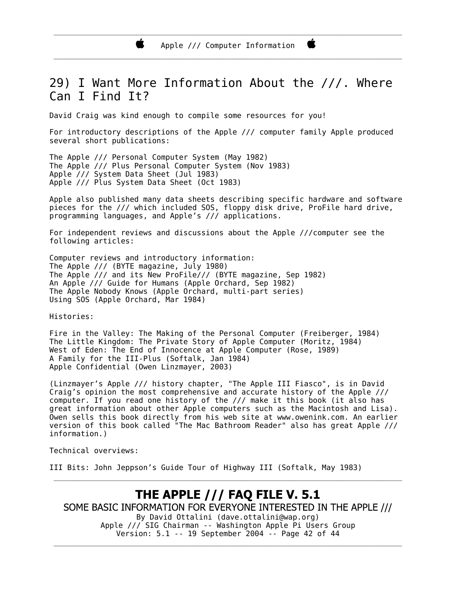### 29) I Want More Information About the ///. Where Can I Find It?

David Craig was kind enough to compile some resources for you!

For introductory descriptions of the Apple /// computer family Apple produced several short publications:

The Apple /// Personal Computer System (May 1982) The Apple /// Plus Personal Computer System (Nov 1983) Apple  $\hat{\cdot}$  /// System Data Sheet (Jul 1983) Apple /// Plus System Data Sheet (Oct 1983)

Ń.

Apple also published many data sheets describing specific hardware and software pieces for the /// which included SOS, floppy disk drive, ProFile hard drive, programming languages, and Apple's /// applications.

For independent reviews and discussions about the Apple ///computer see the following articles:

Computer reviews and introductory information: The Apple  $//$  (BYTE magazine, July 1980) The Apple /// and its New ProFile/// (BYTE magazine, Sep 1982) An Apple /// Guide for Humans (Apple Orchard, Sep 1982) The Apple Nobody Knows (Apple Orchard, multi-part series) Using SOS (Apple Orchard, Mar 1984)

Histories:

Fire in the Valley: The Making of the Personal Computer (Freiberger, 1984) The Little Kingdom: The Private Story of Apple Computer (Moritz, 1984) West of Eden: The End of Innocence at Apple Computer (Rose, 1989) A Family for the III-Plus (Softalk, Jan 1984) Apple Confidential (Owen Linzmayer, 2003)

(Linzmayer's Apple /// history chapter, "The Apple III Fiasco", is in David Craig's opinion the most comprehensive and accurate history of the Apple /// computer. If you read one history of the  $//$  make it this book (it also has great information about other Apple computers such as the Macintosh and Lisa). Owen sells this book directly from his web site at www.owenink.com. An earlier version of this book called "The Mac Bathroom Reader" also has great Apple /// information.)

Technical overviews:

III Bits: John Jeppson's Guide Tour of Highway III (Softalk, May 1983)

#### **THE APPLE /// FAQ FILE V. 5.1** SOME BASIC INFORMATION FOR EVERYONE INTERESTED IN THE APPLE /// By David Ottalini (dave.ottalini@wap.org) Apple /// SIG Chairman -- Washington Apple Pi Users Group Version: 5.1 -- 19 September 2004 -- Page 42 of 44

\_\_\_\_\_\_\_\_\_\_\_\_\_\_\_\_\_\_\_\_\_\_\_\_\_\_\_\_\_\_\_\_\_\_\_\_\_\_\_\_\_\_\_\_\_\_\_\_\_\_\_\_\_\_\_\_\_\_\_\_\_\_\_\_\_\_\_\_\_\_\_\_\_\_\_\_\_\_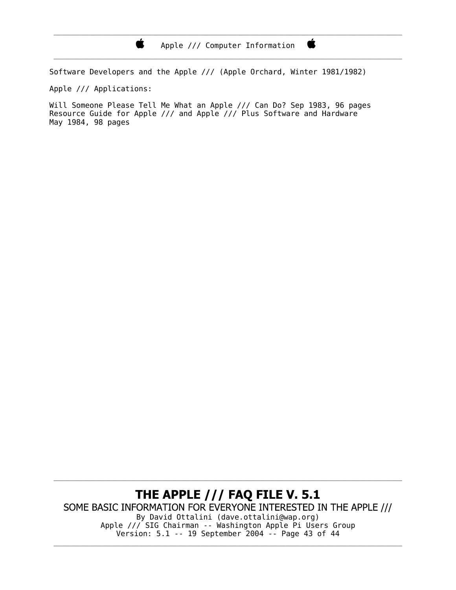\_\_\_\_\_\_\_\_\_\_\_\_\_\_\_\_\_\_\_\_\_\_\_\_\_\_\_\_\_\_\_\_\_\_\_\_\_\_\_\_\_\_\_\_\_\_\_\_\_\_\_\_\_\_\_\_\_\_\_\_\_\_\_\_\_\_\_\_\_\_\_\_\_\_\_\_\_\_

Ë

Software Developers and the Apple /// (Apple Orchard, Winter 1981/1982)

Apple /// Applications:

 $\bullet$ 

Will Someone Please Tell Me What an Apple /// Can Do? Sep 1983, 96 pages Resource Guide for Apple /// and Apple /// Plus Software and Hardware May 1984, 98 pages

THE APPLE /// FAQ FILE V. 5.1 SOME BASIC INFORMATION FOR EVERYONE INTERESTED IN THE APPLE /// By David Ottalini (dave.ottalini@wap.org) Apple /// SIG Chairman -- Washington Apple Pi Users Group Version: 5.1 -- 19 September 2004 -- Page 43 of 44

\_\_\_\_\_\_\_\_\_\_\_\_\_\_\_\_\_\_\_\_\_\_\_\_\_\_\_\_\_\_\_\_\_\_\_\_\_\_\_\_\_\_\_\_\_\_\_\_\_\_\_\_\_\_\_\_\_\_\_\_\_\_\_\_\_\_\_\_\_\_\_\_\_\_\_\_\_\_